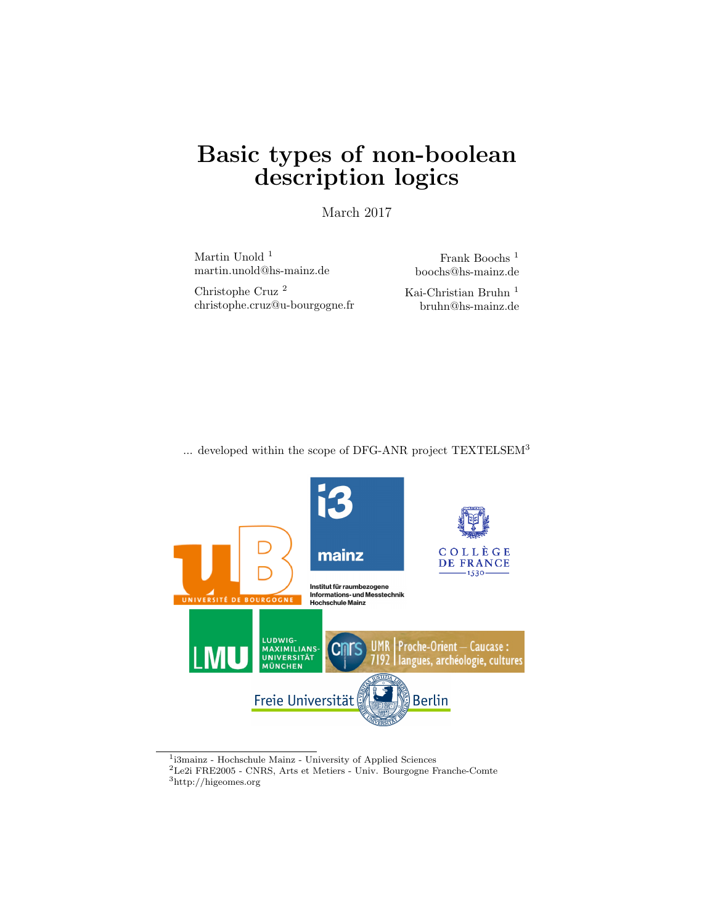# Basic types of non-boolean description logics

March 2017

Martin Unold <sup>1</sup> martin.unold@hs-mainz.de

Frank Boochs <sup>1</sup> boochs@hs-mainz.de

Christophe Cruz <sup>2</sup> christophe.cruz@u-bourgogne.fr Kai-Christian Bruhn $^{\rm 1}$ bruhn@hs-mainz.de

... developed within the scope of DFG-ANR project TEXTELSEM<sup>3</sup>



<sup>1</sup> i3mainz - Hochschule Mainz - University of Applied Sciences

<sup>2</sup>Le2i FRE2005 - CNRS, Arts et Metiers - Univ. Bourgogne Franche-Comte

 $^3{\rm http://higeomes.org}$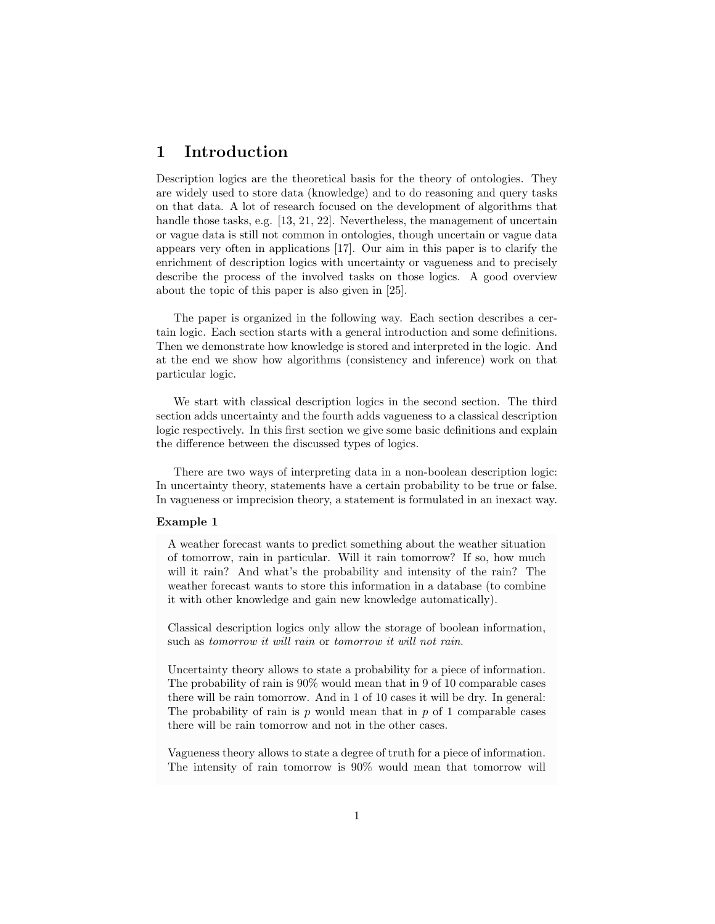# 1 Introduction

Description logics are the theoretical basis for the theory of ontologies. They are widely used to store data (knowledge) and to do reasoning and query tasks on that data. A lot of research focused on the development of algorithms that handle those tasks, e.g. [13, 21, 22]. Nevertheless, the management of uncertain or vague data is still not common in ontologies, though uncertain or vague data appears very often in applications [17]. Our aim in this paper is to clarify the enrichment of description logics with uncertainty or vagueness and to precisely describe the process of the involved tasks on those logics. A good overview about the topic of this paper is also given in [25].

The paper is organized in the following way. Each section describes a certain logic. Each section starts with a general introduction and some definitions. Then we demonstrate how knowledge is stored and interpreted in the logic. And at the end we show how algorithms (consistency and inference) work on that particular logic.

We start with classical description logics in the second section. The third section adds uncertainty and the fourth adds vagueness to a classical description logic respectively. In this first section we give some basic definitions and explain the difference between the discussed types of logics.

There are two ways of interpreting data in a non-boolean description logic: In uncertainty theory, statements have a certain probability to be true or false. In vagueness or imprecision theory, a statement is formulated in an inexact way.

#### Example 1

A weather forecast wants to predict something about the weather situation of tomorrow, rain in particular. Will it rain tomorrow? If so, how much will it rain? And what's the probability and intensity of the rain? The weather forecast wants to store this information in a database (to combine it with other knowledge and gain new knowledge automatically).

Classical description logics only allow the storage of boolean information, such as *tomorrow it will rain* or *tomorrow it will not rain*.

Uncertainty theory allows to state a probability for a piece of information. The probability of rain is 90% would mean that in 9 of 10 comparable cases there will be rain tomorrow. And in 1 of 10 cases it will be dry. In general: The probability of rain is  $p$  would mean that in  $p$  of 1 comparable cases there will be rain tomorrow and not in the other cases.

Vagueness theory allows to state a degree of truth for a piece of information. The intensity of rain tomorrow is 90% would mean that tomorrow will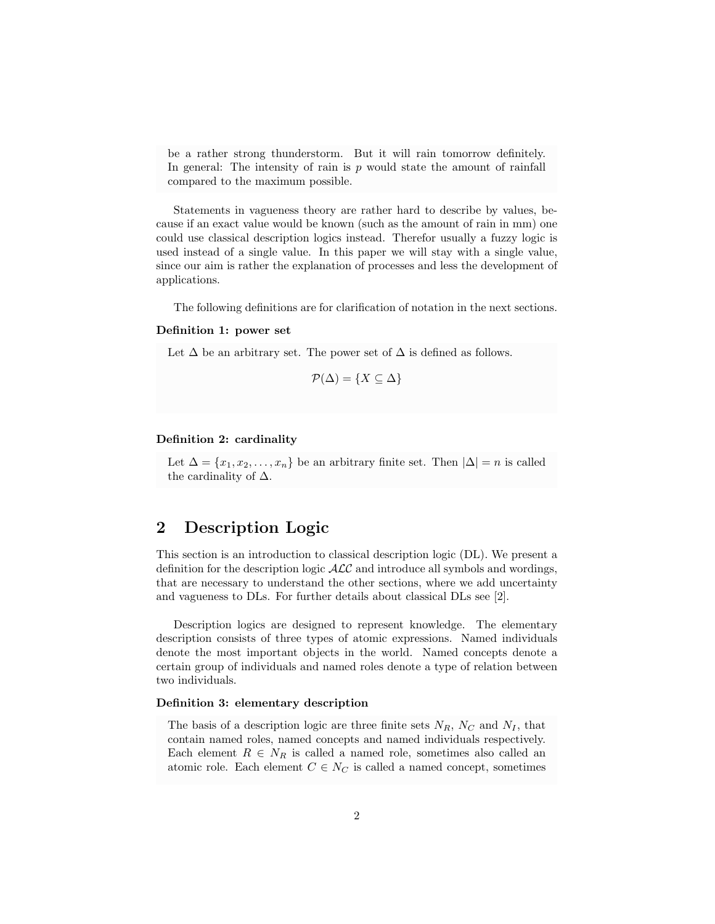be a rather strong thunderstorm. But it will rain tomorrow definitely. In general: The intensity of rain is  $p$  would state the amount of rainfall compared to the maximum possible.

Statements in vagueness theory are rather hard to describe by values, because if an exact value would be known (such as the amount of rain in mm) one could use classical description logics instead. Therefor usually a fuzzy logic is used instead of a single value. In this paper we will stay with a single value, since our aim is rather the explanation of processes and less the development of applications.

The following definitions are for clarification of notation in the next sections.

# Definition 1: power set

Let  $\Delta$  be an arbitrary set. The power set of  $\Delta$  is defined as follows.

$$
\mathcal{P}(\Delta) = \{ X \subseteq \Delta \}
$$

#### Definition 2: cardinality

Let  $\Delta = \{x_1, x_2, \ldots, x_n\}$  be an arbitrary finite set. Then  $|\Delta| = n$  is called the cardinality of  $\Delta$ .

# 2 Description Logic

This section is an introduction to classical description logic (DL). We present a definition for the description logic  $\text{ALC}$  and introduce all symbols and wordings, that are necessary to understand the other sections, where we add uncertainty and vagueness to DLs. For further details about classical DLs see [2].

Description logics are designed to represent knowledge. The elementary description consists of three types of atomic expressions. Named individuals denote the most important objects in the world. Named concepts denote a certain group of individuals and named roles denote a type of relation between two individuals.

#### Definition 3: elementary description

The basis of a description logic are three finite sets  $N_R$ ,  $N_C$  and  $N_I$ , that contain named roles, named concepts and named individuals respectively. Each element  $R \in N_R$  is called a named role, sometimes also called an atomic role. Each element  $C \in N_C$  is called a named concept, sometimes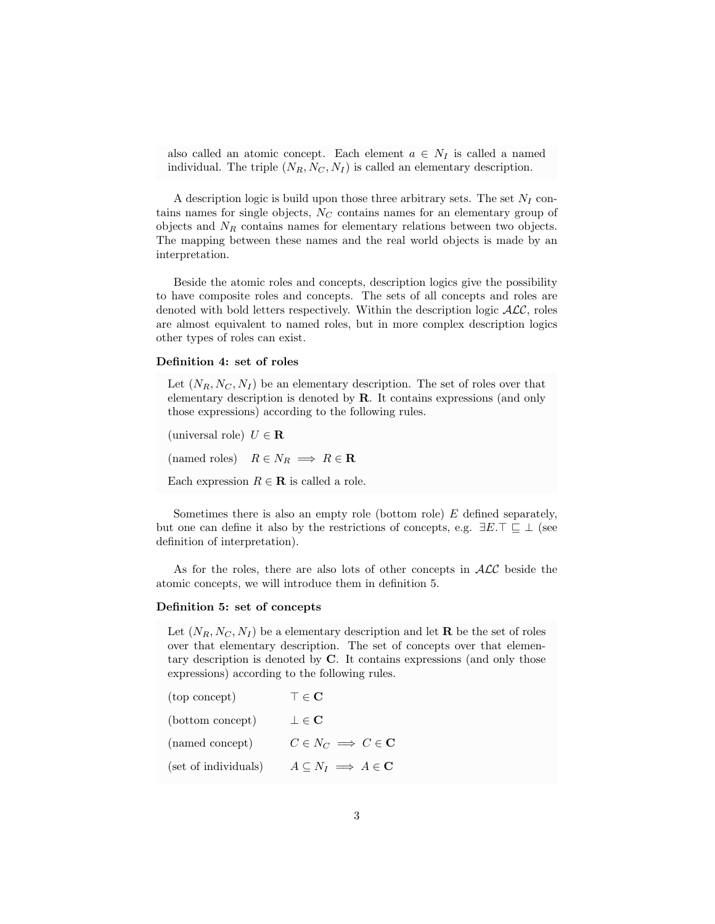also called an atomic concept. Each element  $a \in N_I$  is called a named individual. The triple  $(N_R, N_C, N_I)$  is called an elementary description.

A description logic is build upon those three arbitrary sets. The set  $N_I$  contains names for single objects,  $N<sub>C</sub>$  contains names for an elementary group of objects and  $N_R$  contains names for elementary relations between two objects. The mapping between these names and the real world objects is made by an interpretation.

Beside the atomic roles and concepts, description logics give the possibility to have composite roles and concepts. The sets of all concepts and roles are denoted with bold letters respectively. Within the description logic  $\mathcal{ALC}$ , roles are almost equivalent to named roles, but in more complex description logics other types of roles can exist.

### Definition 4: set of roles

Let  $(N_R, N_C, N_I)$  be an elementary description. The set of roles over that elementary description is denoted by R. It contains expressions (and only those expressions) according to the following rules.

(universal role)  $U \in \mathbf{R}$ (named roles)  $R \in N_R \implies R \in \mathbf{R}$ Each expression  $R \in \mathbf{R}$  is called a role.

Sometimes there is also an empty role (bottom role) E defined separately, but one can define it also by the restrictions of concepts, e.g.  $\exists E.\top \sqsubseteq \bot$  (see definition of interpretation).

As for the roles, there are also lots of other concepts in  $\cal{ALC}$  beside the atomic concepts, we will introduce them in definition 5.

# Definition 5: set of concepts

Let  $(N_R, N_C, N_I)$  be a elementary description and let **R** be the set of roles over that elementary description. The set of concepts over that elementary description is denoted by C. It contains expressions (and only those expressions) according to the following rules.

| (top concept)        | $\top \in \mathbf{C}$                       |
|----------------------|---------------------------------------------|
| (bottom concept)     | $\bot \in {\bf C}$                          |
| (named concept)      | $C \in N_C \implies C \in \mathbf{C}$       |
| (set of individuals) | $A \subseteq N_I \implies A \in \mathbf{C}$ |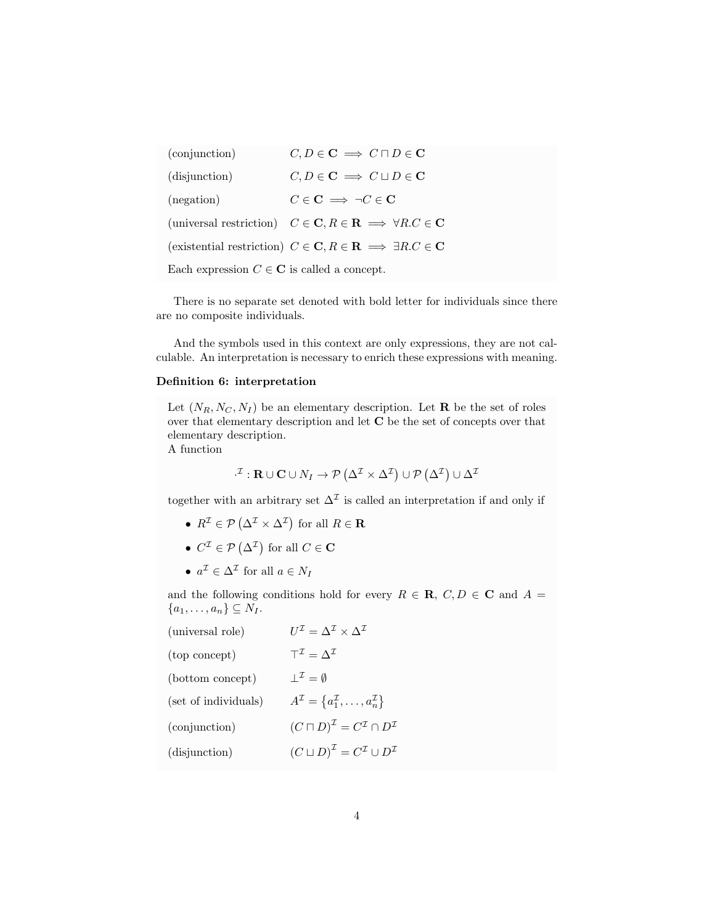(conjunction)  $C, D \in \mathbf{C} \implies C \sqcap D \in \mathbf{C}$ (disjunction)  $C, D \in \mathbf{C} \implies C \sqcup D \in \mathbf{C}$ (negation)  $C \in \mathbf{C} \implies \neg C \in \mathbf{C}$ (universal restriction)  $C \in \mathbf{C}, R \in \mathbf{R} \implies \forall R.C \in \mathbf{C}$ (existential restriction)  $C \in \mathbf{C}, R \in \mathbf{R} \implies \exists R.C \in \mathbf{C}$ Each expression  $C \in \mathbb{C}$  is called a concept.

There is no separate set denoted with bold letter for individuals since there are no composite individuals.

And the symbols used in this context are only expressions, they are not calculable. An interpretation is necessary to enrich these expressions with meaning.

# Definition 6: interpretation

Let  $(N_R, N_C, N_I)$  be an elementary description. Let **R** be the set of roles over that elementary description and let C be the set of concepts over that elementary description.

A function

$$
\cdot^{\mathcal{I}} : \mathbf{R} \cup \mathbf{C} \cup N_I \to \mathcal{P} \left( \Delta^{\mathcal{I}} \times \Delta^{\mathcal{I}} \right) \cup \mathcal{P} \left( \Delta^{\mathcal{I}} \right) \cup \Delta^{\mathcal{I}}
$$

together with an arbitrary set  $\Delta^{\mathcal{I}}$  is called an interpretation if and only if

- $R^{\mathcal{I}} \in \mathcal{P}(\Delta^{\mathcal{I}} \times \Delta^{\mathcal{I}})$  for all  $R \in \mathbf{R}$
- $C^{\mathcal{I}} \in \mathcal{P}(\Delta^{\mathcal{I}})$  for all  $C \in \mathbf{C}$
- $a^{\mathcal{I}} \in \Delta^{\mathcal{I}}$  for all  $a \in N_I$

and the following conditions hold for every  $R \in \mathbf{R}$ ,  $C, D \in \mathbf{C}$  and  $A =$  ${a_1,\ldots,a_n}\subseteq N_I.$ 

| (universal role)     | $U^{\mathcal{I}} = \Lambda^{\mathcal{I}} \times \Lambda^{\mathcal{I}}$ |
|----------------------|------------------------------------------------------------------------|
| (top concept)        | $T^{\mathcal{I}} = \Lambda^{\mathcal{I}}$                              |
| (bottom concept)     | $\perp^{\mathcal{I}}=\emptyset$                                        |
| (set of individuals) | $A^{\mathcal{I}} = \{a_1^{\mathcal{I}}, \ldots, a_n^{\mathcal{I}}\}$   |
| (conjunction)        | $(C\sqcap D)^{\mathcal{I}}=C^{\mathcal{I}}\cap D^{\mathcal{I}}$        |
| (disjunction)        | $(C \sqcup D)^{\mathcal{I}} = C^{\mathcal{I}} \cup D^{\mathcal{I}}$    |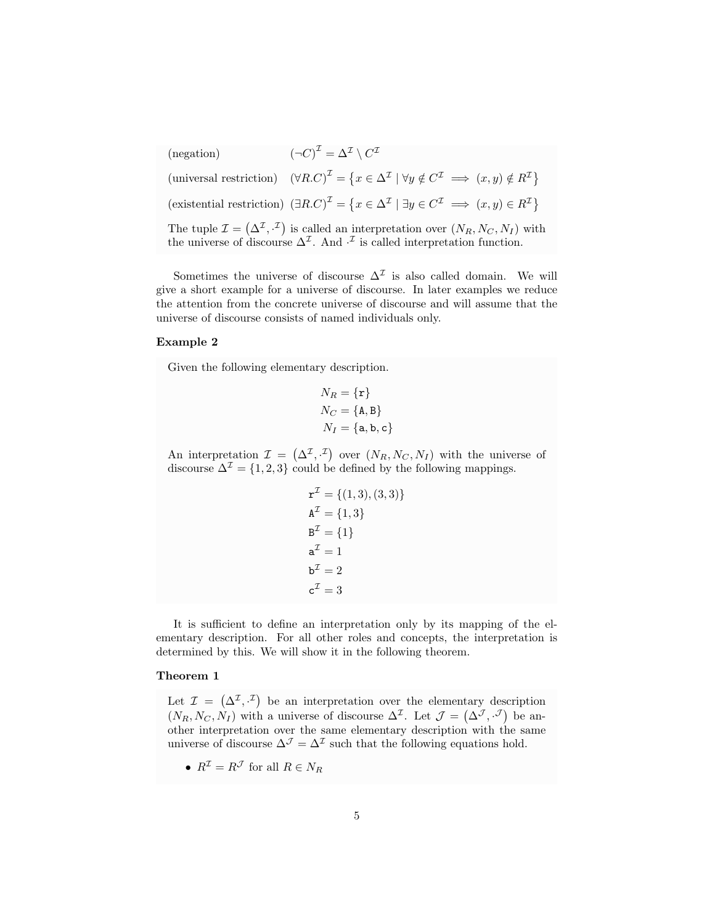$(negation)$  $\mathcal{I}=\Delta^{\mathcal{I}}\setminus C^{\mathcal{I}}$  $(universal restriction)$  $\mathcal{I} = \{x \in \Delta^{\mathcal{I}} \mid \forall y \notin C^{\mathcal{I}} \implies (x, y) \notin R^{\mathcal{I}}\}$ (existential restriction)  $(\exists R.C)^{\mathcal{I}} = \{x \in \Delta^{\mathcal{I}} \mid \exists y \in C^{\mathcal{I}} \implies (x, y) \in R^{\mathcal{I}}\}\$ The tuple  $\mathcal{I} = (\Delta^{\mathcal{I}}, \cdot^{\mathcal{I}})$  is called an interpretation over  $(N_R, N_C, N_I)$  with the universe of discourse  $\Delta^{\mathcal{I}}$ . And  $\cdot^{\mathcal{I}}$  is called interpretation function.

Sometimes the universe of discourse  $\Delta^{\mathcal{I}}$  is also called domain. We will give a short example for a universe of discourse. In later examples we reduce the attention from the concrete universe of discourse and will assume that the universe of discourse consists of named individuals only.

### Example 2

Given the following elementary description.

$$
N_R = {\mathbf{r}}
$$
  
\n
$$
N_C = {\text{A,B}}
$$
  
\n
$$
N_I = {\mathbf{a,b,c}}
$$

An interpretation  $\mathcal{I} = (\Delta^{\mathcal{I}}, \mathcal{I})$  over  $(N_R, N_C, N_I)$  with the universe of discourse  $\Delta^{\mathcal{I}} = \{1, 2, 3\}$  could be defined by the following mappings.

$$
\mathbf{r}^{\mathcal{I}} = \{ (1, 3), (3, 3) \}
$$

$$
\mathbf{A}^{\mathcal{I}} = \{ 1, 3 \}
$$

$$
\mathbf{B}^{\mathcal{I}} = \{ 1 \}
$$

$$
\mathbf{a}^{\mathcal{I}} = 1
$$

$$
\mathbf{b}^{\mathcal{I}} = 2
$$

$$
\mathbf{c}^{\mathcal{I}} = 3
$$

It is sufficient to define an interpretation only by its mapping of the elementary description. For all other roles and concepts, the interpretation is determined by this. We will show it in the following theorem.

### Theorem 1

Let  $\mathcal{I} = (\Delta^{\mathcal{I}}, \cdot^{\mathcal{I}})$  be an interpretation over the elementary description  $(N_R, N_C, N_I)$  with a universe of discourse  $\Delta^{\mathcal{I}}$ . Let  $\mathcal{J} = (\Delta^{\mathcal{J}}, \cdot^{\mathcal{J}})$  be another interpretation over the same elementary description with the same universe of discourse  $\Delta^{\mathcal{J}} = \Delta^{\mathcal{I}}$  such that the following equations hold.

•  $R^{\mathcal{I}} = R^{\mathcal{J}}$  for all  $R \in N_R$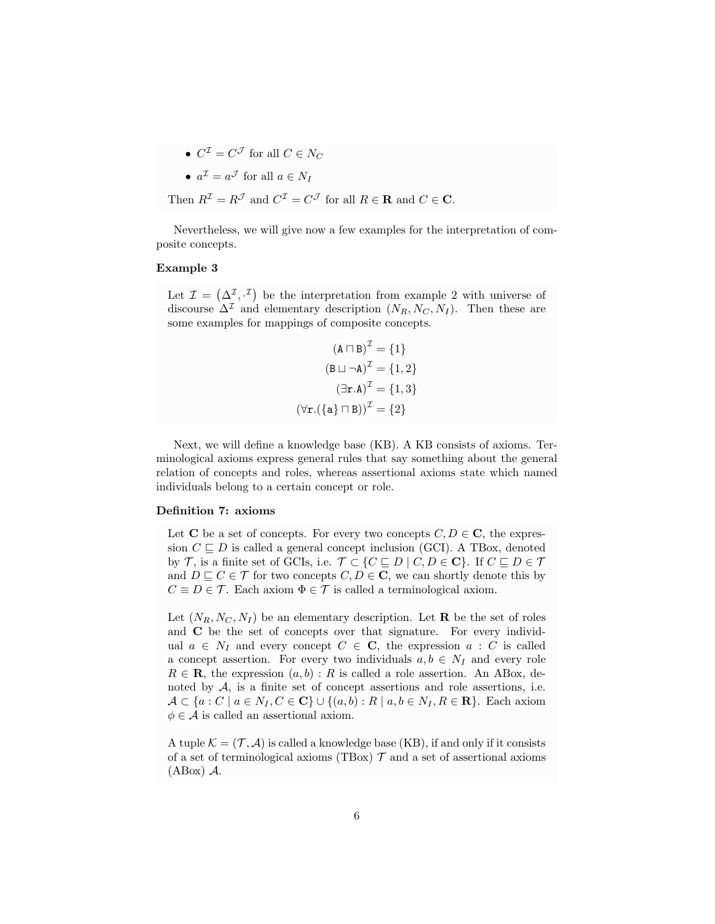•  $C^{\mathcal{I}} = C^{\mathcal{J}}$  for all  $C \in N_C$ 

• 
$$
a^{\mathcal{I}} = a^{\mathcal{J}}
$$
 for all  $a \in N_I$ 

Then 
$$
R^{\mathcal{I}} = R^{\mathcal{J}}
$$
 and  $C^{\mathcal{I}} = C^{\mathcal{J}}$  for all  $R \in \mathbf{R}$  and  $C \in \mathbf{C}$ .

Nevertheless, we will give now a few examples for the interpretation of composite concepts.

# Example 3

Let  $\mathcal{I} = (\Delta^{\mathcal{I}}, \cdot^{\mathcal{I}})$  be the interpretation from example 2 with universe of discourse  $\Delta^{\mathcal{I}}$  and elementary description  $(N_R, N_C, N_I)$ . Then these are some examples for mappings of composite concepts.

$$
(\mathbf{A} \sqcap \mathbf{B})^{\mathcal{I}} = \{1\}
$$

$$
(\mathbf{B} \sqcup \neg \mathbf{A})^{\mathcal{I}} = \{1, 2\}
$$

$$
(\exists \mathbf{r}.\mathbf{A})^{\mathcal{I}} = \{1, 3\}
$$

$$
(\forall \mathbf{r}.(\{\mathbf{a}\} \sqcap \mathbf{B}))^{\mathcal{I}} = \{2\}
$$

Next, we will define a knowledge base (KB). A KB consists of axioms. Terminological axioms express general rules that say something about the general relation of concepts and roles, whereas assertional axioms state which named individuals belong to a certain concept or role.

#### Definition 7: axioms

Let C be a set of concepts. For every two concepts  $C, D \in \mathbb{C}$ , the expression  $C \sqsubseteq D$  is called a general concept inclusion (GCI). A TBox, denoted by T, is a finite set of GCIs, i.e.  $\mathcal{T} \subset \{C \sqsubseteq D \mid C, D \in \mathbb{C}\}\$ . If  $C \sqsubseteq D \in \mathcal{T}$ and  $D \sqsubset C \in \mathcal{T}$  for two concepts  $C, D \in \mathbb{C}$ , we can shortly denote this by  $C \equiv D \in \mathcal{T}$ . Each axiom  $\Phi \in \mathcal{T}$  is called a terminological axiom.

Let  $(N_R, N_C, N_I)$  be an elementary description. Let **R** be the set of roles and C be the set of concepts over that signature. For every individual  $a \in N_I$  and every concept  $C \in \mathbf{C}$ , the expression  $a : C$  is called a concept assertion. For every two individuals  $a, b \in N_I$  and every role  $R \in \mathbf{R}$ , the expression  $(a, b) : R$  is called a role assertion. An ABox, denoted by  $A$ , is a finite set of concept assertions and role assertions, i.e.  $\mathcal{A} \subset \{a : C \mid a \in N_I, C \in \mathbf{C}\} \cup \{(a, b) : R \mid a, b \in N_I, R \in \mathbf{R}\}.$  Each axiom  $\phi \in \mathcal{A}$  is called an assertional axiom.

A tuple  $\mathcal{K} = (\mathcal{T}, \mathcal{A})$  is called a knowledge base (KB), if and only if it consists of a set of terminological axioms (TBox)  $\mathcal T$  and a set of assertional axioms (ABox) A.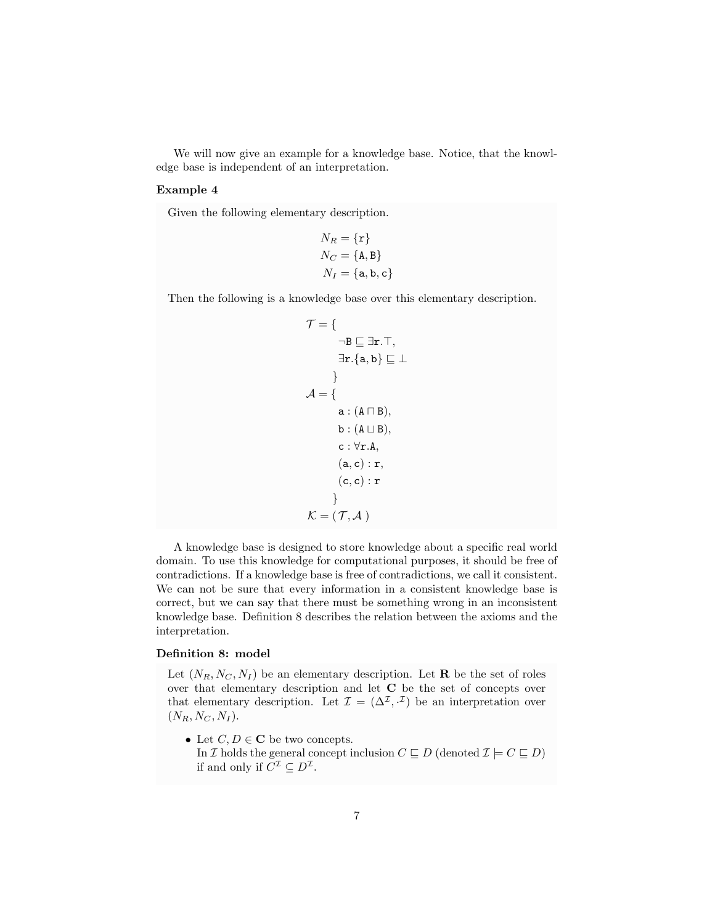We will now give an example for a knowledge base. Notice, that the knowledge base is independent of an interpretation.

# Example 4

Given the following elementary description.

$$
N_R = {\mathbf{r}}
$$
  
\n
$$
N_C = {\text{A,B}}
$$
  
\n
$$
N_I = {\mathbf{a,b,c}}
$$

Then the following is a knowledge base over this elementary description.

$$
\mathcal{T} = \{ \mathbf{B} \subseteq \exists \mathbf{r}.T, \exists \mathbf{r}. \{\mathbf{a}, \mathbf{b}\} \subseteq \bot \}
$$
\n
$$
\exists \mathbf{r}. \{\mathbf{a}, \mathbf{b}\} \subseteq \bot
$$
\n
$$
\} \mathcal{A} = \{ \mathbf{a}: (\mathbf{A} \sqcap \mathbf{B}), \mathbf{b}: (\mathbf{A} \sqcup \mathbf{B}), \mathbf{c}: \forall \mathbf{r}.A, (\mathbf{a}, \mathbf{c}): \mathbf{r}, (\mathbf{c}, \mathbf{c}): \mathbf{r} \}
$$
\n
$$
\mathcal{K} = (\mathcal{T}, \mathcal{A})
$$

A knowledge base is designed to store knowledge about a specific real world domain. To use this knowledge for computational purposes, it should be free of contradictions. If a knowledge base is free of contradictions, we call it consistent. We can not be sure that every information in a consistent knowledge base is correct, but we can say that there must be something wrong in an inconsistent knowledge base. Definition 8 describes the relation between the axioms and the interpretation.

# Definition 8: model

Let  $(N_R, N_C, N_I)$  be an elementary description. Let **R** be the set of roles over that elementary description and let C be the set of concepts over that elementary description. Let  $\mathcal{I} = (\Delta^{\mathcal{I}}, \cdot^{\mathcal{I}})$  be an interpretation over  $(N_R, N_C, N_I).$ 

• Let  $C, D \in \mathbb{C}$  be two concepts. In I holds the general concept inclusion  $C \sqsubseteq D$  (denoted  $\mathcal{I} \models C \sqsubseteq D$ ) if and only if  $C^{\mathcal{I}} \subseteq D^{\mathcal{I}}$ .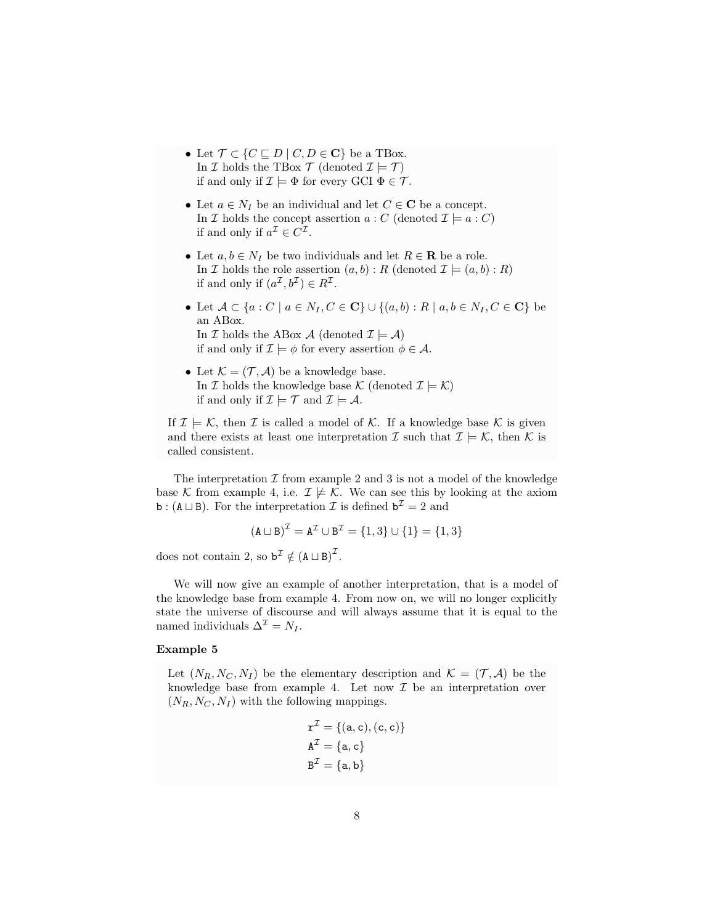- Let  $\mathcal{T} \subset \{C \sqsubseteq D \mid C, D \in \mathbf{C}\}$  be a TBox. In  $\mathcal I$  holds the TBox  $\mathcal T$  (denoted  $\mathcal I \models \mathcal T$ ) if and only if  $\mathcal{I} \models \Phi$  for every GCI  $\Phi \in \mathcal{T}$ .
- Let  $a \in N_I$  be an individual and let  $C \in \mathbb{C}$  be a concept. In  $\mathcal I$  holds the concept assertion  $a : C$  (denoted  $\mathcal I \models a : C$ ) if and only if  $a^{\mathcal{I}} \in C^{\mathcal{I}}$ .
- Let  $a, b \in N_I$  be two individuals and let  $R \in \mathbf{R}$  be a role. In *I* holds the role assertion  $(a, b) : R$  (denoted  $\mathcal{I} \models (a, b) : R$ ) if and only if  $(a^{\mathcal{I}}, b^{\mathcal{I}}) \in R^{\mathcal{I}}$ .
- Let  $A \subset \{a : C \mid a \in N_I, C \in \mathbf{C}\} \cup \{(a, b) : R \mid a, b \in N_I, C \in \mathbf{C}\}\)$ an ABox. In  $\mathcal I$  holds the ABox  $\mathcal A$  (denoted  $\mathcal I \models \mathcal A$ ) if and only if  $\mathcal{I} \models \phi$  for every assertion  $\phi \in \mathcal{A}$ .
- Let  $\mathcal{K} = (\mathcal{T}, \mathcal{A})$  be a knowledge base. In  $\mathcal I$  holds the knowledge base  $\mathcal K$  (denoted  $\mathcal I \models \mathcal K$ ) if and only if  $\mathcal{I} \models \mathcal{T}$  and  $\mathcal{I} \models \mathcal{A}$ .

If  $\mathcal{I} \models \mathcal{K}$ , then  $\mathcal{I}$  is called a model of  $\mathcal{K}$ . If a knowledge base  $\mathcal{K}$  is given and there exists at least one interpretation  $\mathcal I$  such that  $\mathcal I \models \mathcal K$ , then  $\mathcal K$  is called consistent.

The interpretation  $\mathcal I$  from example 2 and 3 is not a model of the knowledge base K from example 4, i.e.  $\mathcal{I} \not\models \mathcal{K}$ . We can see this by looking at the axiom **b** : ( $A \sqcup B$ ). For the interpretation  $\mathcal{I}$  is defined  $\mathbf{b}^{\mathcal{I}} = 2$  and

$$
(A \sqcup B)^{\mathcal{I}} = A^{\mathcal{I}} \cup B^{\mathcal{I}} = \{1, 3\} \cup \{1\} = \{1, 3\}
$$

does not contain 2, so  $\mathbf{b}^{\mathcal{I}} \notin (\mathbf{A} \sqcup \mathbf{B})^{\mathcal{I}}$ .

We will now give an example of another interpretation, that is a model of the knowledge base from example 4. From now on, we will no longer explicitly state the universe of discourse and will always assume that it is equal to the named individuals  $\Delta^{\mathcal{I}} = N_I$ .

# Example 5

Let  $(N_R, N_C, N_I)$  be the elementary description and  $\mathcal{K} = (\mathcal{T}, \mathcal{A})$  be the knowledge base from example 4. Let now  $\mathcal I$  be an interpretation over  $(N_R, N_C, N_I)$  with the following mappings.

$$
\mathbf{r}^{\mathcal{I}} = \{(\mathbf{a}, \mathbf{c}), (\mathbf{c}, \mathbf{c})\}
$$

$$
\mathbf{A}^{\mathcal{I}} = \{\mathbf{a}, \mathbf{c}\}
$$

$$
\mathbf{B}^{\mathcal{I}} = \{\mathbf{a}, \mathbf{b}\}
$$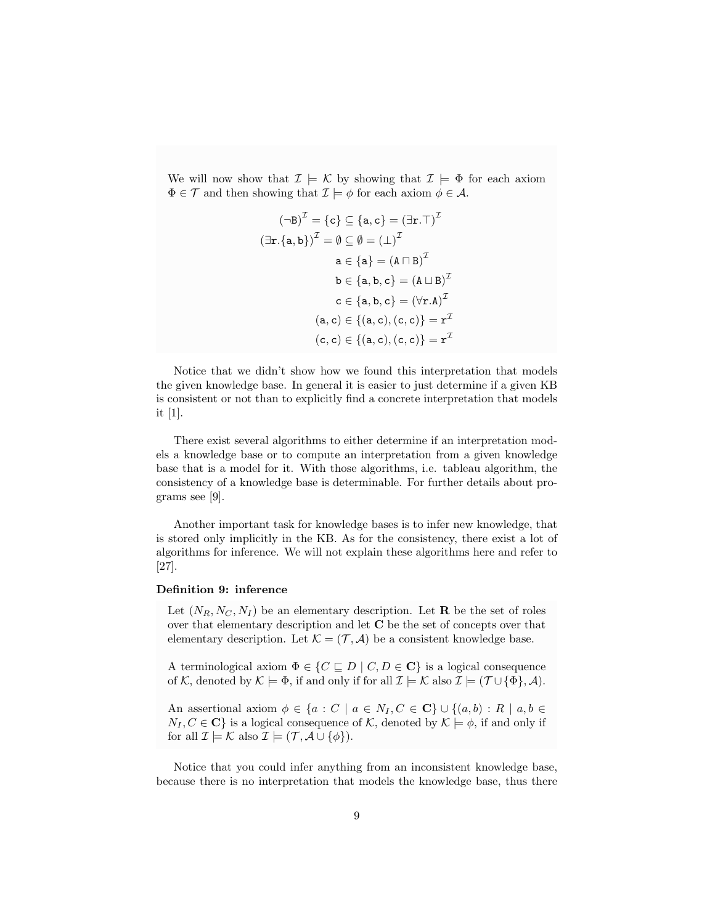We will now show that  $\mathcal{I} \models \mathcal{K}$  by showing that  $\mathcal{I} \models \Phi$  for each axiom  $\Phi \in \mathcal{T}$  and then showing that  $\mathcal{I} \models \phi$  for each axiom  $\phi \in \mathcal{A}$ .

$$
(\neg B)^{\mathcal{I}} = \{c\} \subseteq \{a, c\} = (\exists r. \top)^{\mathcal{I}}
$$

$$
(\exists r. \{a, b\})^{\mathcal{I}} = \emptyset \subseteq \emptyset = (\bot)^{\mathcal{I}}
$$

$$
a \in \{a\} = (A \sqcap B)^{\mathcal{I}}
$$

$$
b \in \{a, b, c\} = (A \sqcup B)^{\mathcal{I}}
$$

$$
c \in \{a, b, c\} = (\forall r.A)^{\mathcal{I}}
$$

$$
(a, c) \in \{(a, c), (c, c)\} = r^{\mathcal{I}}
$$

$$
(c, c) \in \{(a, c), (c, c)\} = r^{\mathcal{I}}
$$

Notice that we didn't show how we found this interpretation that models the given knowledge base. In general it is easier to just determine if a given KB is consistent or not than to explicitly find a concrete interpretation that models it [1].

There exist several algorithms to either determine if an interpretation models a knowledge base or to compute an interpretation from a given knowledge base that is a model for it. With those algorithms, i.e. tableau algorithm, the consistency of a knowledge base is determinable. For further details about programs see [9].

Another important task for knowledge bases is to infer new knowledge, that is stored only implicitly in the KB. As for the consistency, there exist a lot of algorithms for inference. We will not explain these algorithms here and refer to [27].

# Definition 9: inference

Let  $(N_R, N_C, N_I)$  be an elementary description. Let **R** be the set of roles over that elementary description and let C be the set of concepts over that elementary description. Let  $\mathcal{K} = (\mathcal{T}, \mathcal{A})$  be a consistent knowledge base.

A terminological axiom  $\Phi \in \{C \sqsubseteq D \mid C, D \in \mathbf{C}\}\$ is a logical consequence of K, denoted by  $\mathcal{K} \models \Phi$ , if and only if for all  $\mathcal{I} \models \mathcal{K}$  also  $\mathcal{I} \models (\mathcal{T} \cup {\Phi}, \mathcal{A})$ .

An assertional axiom  $\phi \in \{a : C \mid a \in N_I, C \in \mathbf{C}\} \cup \{(a, b) : R \mid a, b \in \mathbf{C}\}\$  $N_I, C \in \mathbf{C}$  is a logical consequence of K, denoted by  $\mathcal{K} \models \phi$ , if and only if for all  $\mathcal{I} \models \mathcal{K}$  also  $\mathcal{I} \models (\mathcal{T}, \mathcal{A} \cup \{\phi\}).$ 

Notice that you could infer anything from an inconsistent knowledge base, because there is no interpretation that models the knowledge base, thus there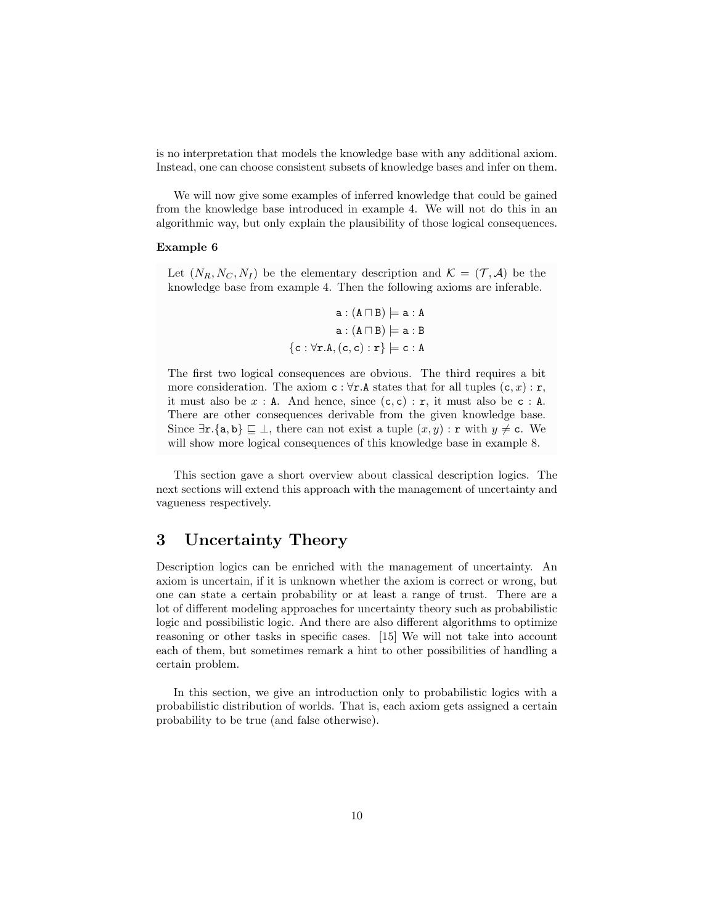is no interpretation that models the knowledge base with any additional axiom. Instead, one can choose consistent subsets of knowledge bases and infer on them.

We will now give some examples of inferred knowledge that could be gained from the knowledge base introduced in example 4. We will not do this in an algorithmic way, but only explain the plausibility of those logical consequences.

# Example 6

Let  $(N_R, N_C, N_I)$  be the elementary description and  $\mathcal{K} = (\mathcal{T}, \mathcal{A})$  be the knowledge base from example 4. Then the following axioms are inferable.

$$
\begin{aligned} \mathtt{a}: (\mathtt{A} \sqcap \mathtt{B}) &\models \mathtt{a}: \mathtt{A} \\ \mathtt{a}: (\mathtt{A} \sqcap \mathtt{B}) &\models \mathtt{a}: \mathtt{B} \\ \mathtt{\{c}: \forall \mathtt{r}.\mathtt{A}, (\mathtt{c}, \mathtt{c}): \mathtt{r}\} &\models \mathtt{c}: \mathtt{A} \end{aligned}
$$

The first two logical consequences are obvious. The third requires a bit more consideration. The axiom  $c : \forall r.A$  states that for all tuples  $(c, x) : r$ , it must also be  $x : A$ . And hence, since  $(c, c) : r$ , it must also be c : A. There are other consequences derivable from the given knowledge base. Since  $\exists$ **r**.{a, b}  $\subseteq$  ⊥, there can not exist a tuple  $(x, y)$  : **r** with  $y \neq c$ . We will show more logical consequences of this knowledge base in example 8.

This section gave a short overview about classical description logics. The next sections will extend this approach with the management of uncertainty and vagueness respectively.

# 3 Uncertainty Theory

Description logics can be enriched with the management of uncertainty. An axiom is uncertain, if it is unknown whether the axiom is correct or wrong, but one can state a certain probability or at least a range of trust. There are a lot of different modeling approaches for uncertainty theory such as probabilistic logic and possibilistic logic. And there are also different algorithms to optimize reasoning or other tasks in specific cases. [15] We will not take into account each of them, but sometimes remark a hint to other possibilities of handling a certain problem.

In this section, we give an introduction only to probabilistic logics with a probabilistic distribution of worlds. That is, each axiom gets assigned a certain probability to be true (and false otherwise).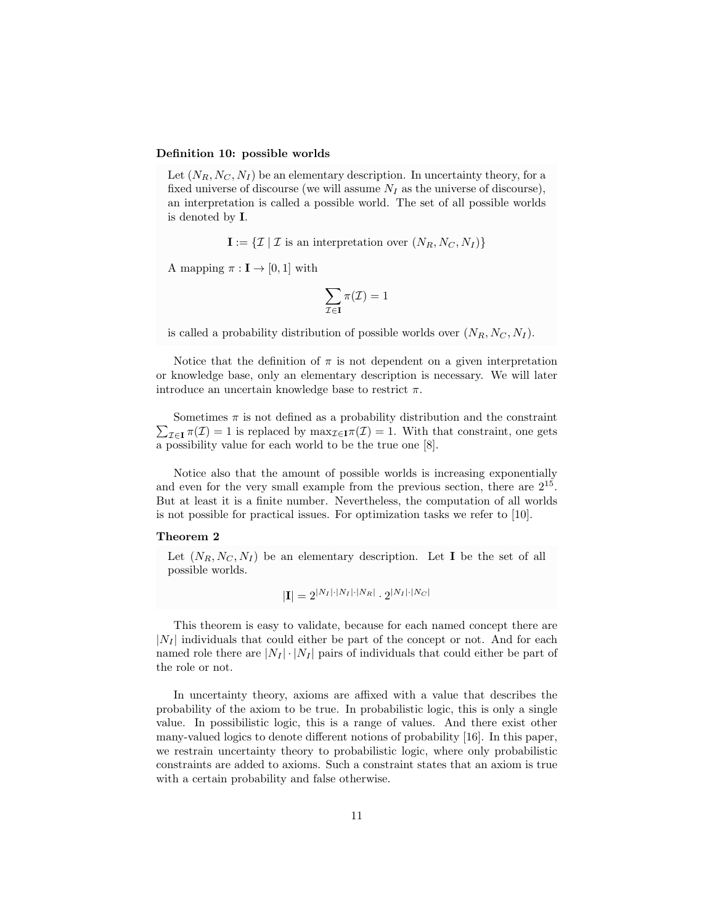# Definition 10: possible worlds

Let  $(N_R, N_C, N_I)$  be an elementary description. In uncertainty theory, for a fixed universe of discourse (we will assume  $N_I$  as the universe of discourse), an interpretation is called a possible world. The set of all possible worlds is denoted by I.

 $I := \{ \mathcal{I} \mid \mathcal{I} \text{ is an interpretation over } (N_R, N_C, N_I) \}$ 

A mapping  $\pi : I \to [0, 1]$  with

$$
\sum_{\mathcal{I}\in\mathbf{I}}\pi(\mathcal{I})=1
$$

is called a probability distribution of possible worlds over  $(N_R, N_C, N_I)$ .

Notice that the definition of  $\pi$  is not dependent on a given interpretation or knowledge base, only an elementary description is necessary. We will later introduce an uncertain knowledge base to restrict  $\pi$ .

 $\sum_{\mathcal{I}\in\mathbf{I}} \pi(\mathcal{I}) = 1$  is replaced by  $\max_{\mathcal{I}\in\mathbf{I}} \pi(\mathcal{I}) = 1$ . With that constraint, one gets Sometimes  $\pi$  is not defined as a probability distribution and the constraint a possibility value for each world to be the true one [8].

Notice also that the amount of possible worlds is increasing exponentially and even for the very small example from the previous section, there are  $2^{15}$ . But at least it is a finite number. Nevertheless, the computation of all worlds is not possible for practical issues. For optimization tasks we refer to [10].

# Theorem 2

Let  $(N_R, N_C, N_I)$  be an elementary description. Let **I** be the set of all possible worlds.

$$
|\mathbf{I}| = 2^{|N_I| \cdot |N_I| \cdot |N_R|} \cdot 2^{|N_I| \cdot |N_C|}
$$

This theorem is easy to validate, because for each named concept there are  $|N_I|$  individuals that could either be part of the concept or not. And for each named role there are  $|N_I| \cdot |N_I|$  pairs of individuals that could either be part of the role or not.

In uncertainty theory, axioms are affixed with a value that describes the probability of the axiom to be true. In probabilistic logic, this is only a single value. In possibilistic logic, this is a range of values. And there exist other many-valued logics to denote different notions of probability [16]. In this paper, we restrain uncertainty theory to probabilistic logic, where only probabilistic constraints are added to axioms. Such a constraint states that an axiom is true with a certain probability and false otherwise.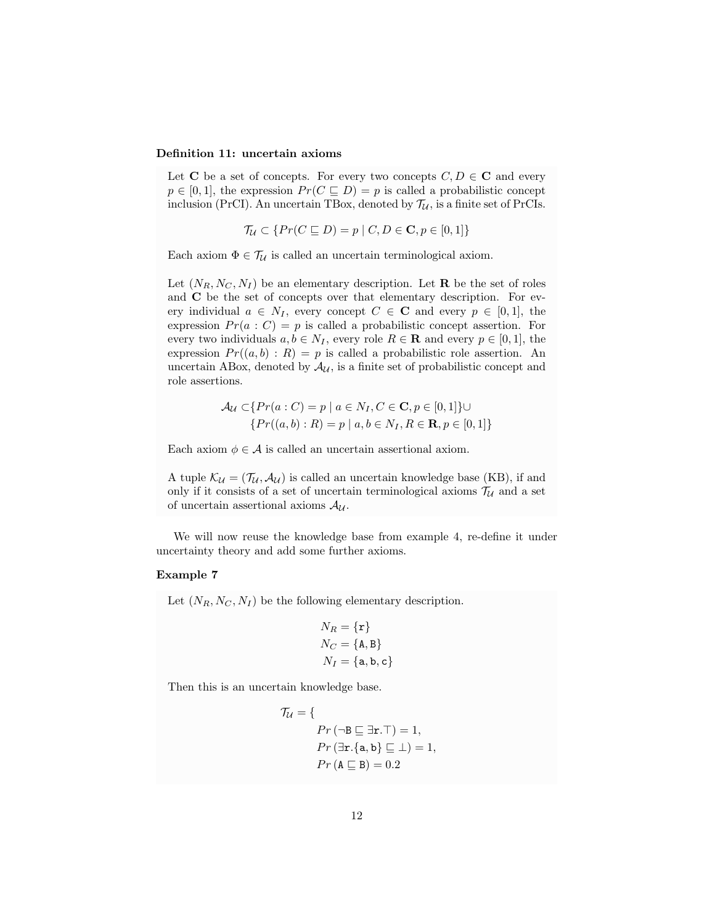# Definition 11: uncertain axioms

Let C be a set of concepts. For every two concepts  $C, D \in \mathbb{C}$  and every  $p \in [0, 1]$ , the expression  $Pr(C \subseteq D) = p$  is called a probabilistic concept inclusion (PrCI). An uncertain TBox, denoted by  $\mathcal{T}_U$ , is a finite set of PrCIs.

$$
\mathcal{T}_{\mathcal{U}} \subset \{ Pr(C \sqsubseteq D) = p \mid C, D \in \mathbf{C}, p \in [0, 1] \}
$$

Each axiom  $\Phi \in \mathcal{T}_\mathcal{U}$  is called an uncertain terminological axiom.

Let  $(N_R, N_C, N_I)$  be an elementary description. Let **R** be the set of roles and C be the set of concepts over that elementary description. For every individual  $a \in N_I$ , every concept  $C \in \mathbf{C}$  and every  $p \in [0,1]$ , the expression  $Pr(a : C) = p$  is called a probabilistic concept assertion. For every two individuals  $a, b \in N_I$ , every role  $R \in \mathbf{R}$  and every  $p \in [0, 1]$ , the expression  $Pr((a, b) : R) = p$  is called a probabilistic role assertion. An uncertain ABox, denoted by  $\mathcal{A}_{\mathcal{U}}$ , is a finite set of probabilistic concept and role assertions.

$$
\mathcal{A}_{\mathcal{U}} \subset \{ Pr(a : C) = p \mid a \in N_I, C \in \mathbf{C}, p \in [0, 1] \} \cup \{ Pr((a, b) : R) = p \mid a, b \in N_I, R \in \mathbf{R}, p \in [0, 1] \}
$$

Each axiom  $\phi \in \mathcal{A}$  is called an uncertain assertional axiom.

A tuple  $\mathcal{K}_{\mathcal{U}} = (\mathcal{T}_{\mathcal{U}}, \mathcal{A}_{\mathcal{U}})$  is called an uncertain knowledge base (KB), if and only if it consists of a set of uncertain terminological axioms  $\mathcal{T}_U$  and a set of uncertain assertional axioms  $A_{\mathcal{U}}$ .

We will now reuse the knowledge base from example 4, re-define it under uncertainty theory and add some further axioms.

# Example 7

Let  $(N_R, N_C, N_I)$  be the following elementary description.

$$
N_R = {\mathbf{r}}
$$
  
\n
$$
N_C = {\text{A,B}}
$$
  
\n
$$
N_I = {\text{a,b,c}}
$$

Then this is an uncertain knowledge base.

$$
\mathcal{T}_\mathcal{U} = \{ \nPr(\neg B \sqsubseteq \exists \mathbf{r}.\top) = 1, \nPr(\exists \mathbf{r}.\{\mathbf{a}, \mathbf{b}\} \sqsubseteq \bot) = 1, \nPr(\mathbf{A} \sqsubseteq \mathbf{B}) = 0.2
$$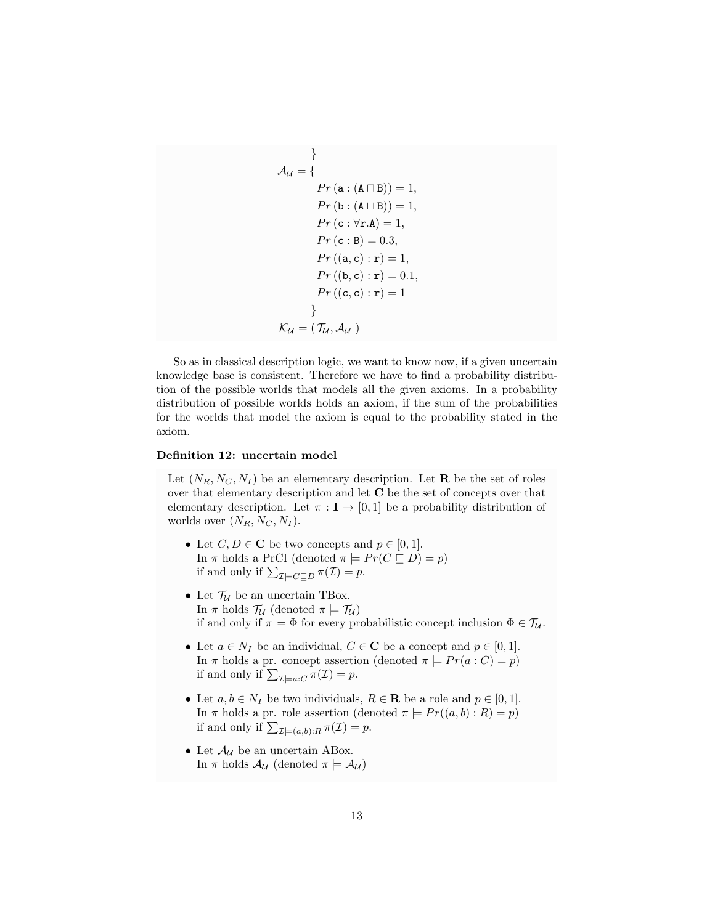$$
\mathcal{A}_{\mathcal{U}} = \{ \nPr (\mathbf{a} : (\mathbf{A} \cap \mathbf{B})) = 1, \nPr (\mathbf{b} : (\mathbf{A} \sqcup \mathbf{B})) = 1, \nPr (\mathbf{c} : \forall \mathbf{r}.\mathbf{A}) = 1, \nPr (\mathbf{c} : \mathbf{B}) = 0.3, \nPr ((\mathbf{a}, \mathbf{c}) : \mathbf{r}) = 1, \nPr ((\mathbf{b}, \mathbf{c}) : \mathbf{r}) = 0.1, \nPr ((\mathbf{c}, \mathbf{c}) : \mathbf{r}) = 1
$$
\n
$$
\} \n\mathcal{K}_{\mathcal{U}} = (\mathcal{T}_{\mathcal{U}}, \mathcal{A}_{\mathcal{U}})
$$

So as in classical description logic, we want to know now, if a given uncertain knowledge base is consistent. Therefore we have to find a probability distribution of the possible worlds that models all the given axioms. In a probability distribution of possible worlds holds an axiom, if the sum of the probabilities for the worlds that model the axiom is equal to the probability stated in the axiom.

# Definition 12: uncertain model

Let  $(N_R, N_C, N_I)$  be an elementary description. Let **R** be the set of roles over that elementary description and let C be the set of concepts over that elementary description. Let  $\pi : I \to [0,1]$  be a probability distribution of worlds over  $(N_R, N_C, N_I)$ .

- Let  $C, D \in \mathbb{C}$  be two concepts and  $p \in [0, 1]$ . In  $\pi$  holds a PrCI (denoted  $\pi \models Pr(C \sqsubseteq D) = p$ ) if and only if  $\sum_{\mathcal{I} \models C \sqsubseteq D} \pi(\mathcal{I}) = p$ .
- Let  $\mathcal{T}_\mathcal{U}$  be an uncertain TBox. In  $\pi$  holds  $\mathcal{T}_{\mathcal{U}}$  (denoted  $\pi \models \mathcal{T}_{\mathcal{U}}$ ) if and only if  $\pi \models \Phi$  for every probabilistic concept inclusion  $\Phi \in \mathcal{T}_u$ .
- Let  $a \in N_I$  be an individual,  $C \in \mathbb{C}$  be a concept and  $p \in [0,1]$ . In  $\pi$  holds a pr. concept assertion (denoted  $\pi \models Pr(a : C) = p$ ) if and only if  $\sum_{\mathcal{I} \models a:C} \pi(\mathcal{I}) = p$ .
- Let  $a, b \in N_I$  be two individuals,  $R \in \mathbf{R}$  be a role and  $p \in [0, 1]$ . In  $\pi$  holds a pr. role assertion (denoted  $\pi \models Pr((a, b) : R) = p$ ) if and only if  $\sum_{\mathcal{I} \models (a,b):R} \pi(\mathcal{I}) = p$ .
- $\bullet\,$  Let  $\mathcal{A}_{\mathcal{U}}$  be an uncertain ABox. In  $\pi$  holds  $\mathcal{A}_{\mathcal{U}}$  (denoted  $\pi \models \mathcal{A}_{\mathcal{U}}$ )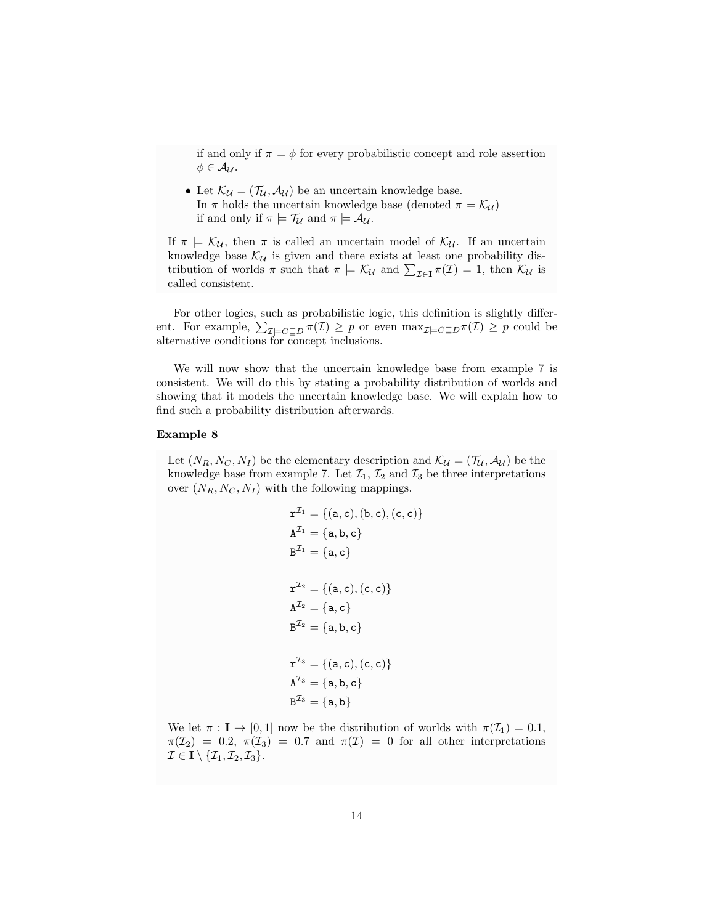if and only if  $\pi \models \phi$  for every probabilistic concept and role assertion  $\phi \in \mathcal{A}_{\mathcal{U}}$ .

• Let  $\mathcal{K}_{\mathcal{U}} = (\mathcal{T}_{\mathcal{U}}, \mathcal{A}_{\mathcal{U}})$  be an uncertain knowledge base. In  $\pi$  holds the uncertain knowledge base (denoted  $\pi \models \mathcal{K}_{\mathcal{U}}$ ) if and only if  $\pi \models \mathcal{T}_\mathcal{U}$  and  $\pi \models \mathcal{A}_\mathcal{U}$ .

If  $\pi \models \mathcal{K}_{\mathcal{U}}$ , then  $\pi$  is called an uncertain model of  $\mathcal{K}_{\mathcal{U}}$ . If an uncertain knowledge base  $\mathcal{K}_{\mathcal{U}}$  is given and there exists at least one probability distribution of worlds  $\pi$  such that  $\pi \models \mathcal{K}_{\mathcal{U}}$  and  $\sum_{\mathcal{I} \in \mathbf{I}} \pi(\mathcal{I}) = 1$ , then  $\mathcal{K}_{\mathcal{U}}$  is called consistent.

For other logics, such as probabilistic logic, this definition is slightly different. For example,  $\sum_{\mathcal{I} \models C \sqsubseteq D} \pi(\mathcal{I}) \geq p$  or even  $\max_{\mathcal{I} \models C \sqsubseteq D} \pi(\mathcal{I}) \geq p$  could be alternative conditions for concept inclusions.

We will now show that the uncertain knowledge base from example 7 is consistent. We will do this by stating a probability distribution of worlds and showing that it models the uncertain knowledge base. We will explain how to find such a probability distribution afterwards.

# Example 8

Let  $(N_R, N_C, N_I)$  be the elementary description and  $\mathcal{K}_{\mathcal{U}} = (\mathcal{T}_{\mathcal{U}}, \mathcal{A}_{\mathcal{U}})$  be the knowledge base from example 7. Let  $\mathcal{I}_1, \mathcal{I}_2$  and  $\mathcal{I}_3$  be three interpretations over  $(N_R, N_C, N_I)$  with the following mappings.

$$
\mathbf{r}^{\mathcal{I}_1} = \{(\mathbf{a}, \mathbf{c}), (\mathbf{b}, \mathbf{c}), (\mathbf{c}, \mathbf{c})\}
$$
\n
$$
\mathbf{A}^{\mathcal{I}_1} = \{\mathbf{a}, \mathbf{b}, \mathbf{c}\}
$$
\n
$$
\mathbf{B}^{\mathcal{I}_1} = \{\mathbf{a}, \mathbf{c}\}
$$
\n
$$
\mathbf{r}^{\mathcal{I}_2} = \{(\mathbf{a}, \mathbf{c}), (\mathbf{c}, \mathbf{c})\}
$$
\n
$$
\mathbf{A}^{\mathcal{I}_2} = \{\mathbf{a}, \mathbf{b}, \mathbf{c}\}
$$
\n
$$
\mathbf{B}^{\mathcal{I}_2} = \{\mathbf{a}, \mathbf{b}, \mathbf{c}\}
$$
\n
$$
\mathbf{r}^{\mathcal{I}_3} = \{(\mathbf{a}, \mathbf{c}), (\mathbf{c}, \mathbf{c})\}
$$
\n
$$
\mathbf{A}^{\mathcal{I}_3} = \{\mathbf{a}, \mathbf{b}, \mathbf{c}\}
$$
\n
$$
\mathbf{B}^{\mathcal{I}_3} = \{\mathbf{a}, \mathbf{b}\}
$$

We let  $\pi : I \to [0,1]$  now be the distribution of worlds with  $\pi(\mathcal{I}_1) = 0.1$ ,  $\pi(\mathcal{I}_2) = 0.2$ ,  $\pi(\mathcal{I}_3) = 0.7$  and  $\pi(\mathcal{I}) = 0$  for all other interpretations  $\mathcal{I} \in \mathbf{I} \setminus \{\mathcal{I}_1, \mathcal{I}_2, \mathcal{I}_3\}.$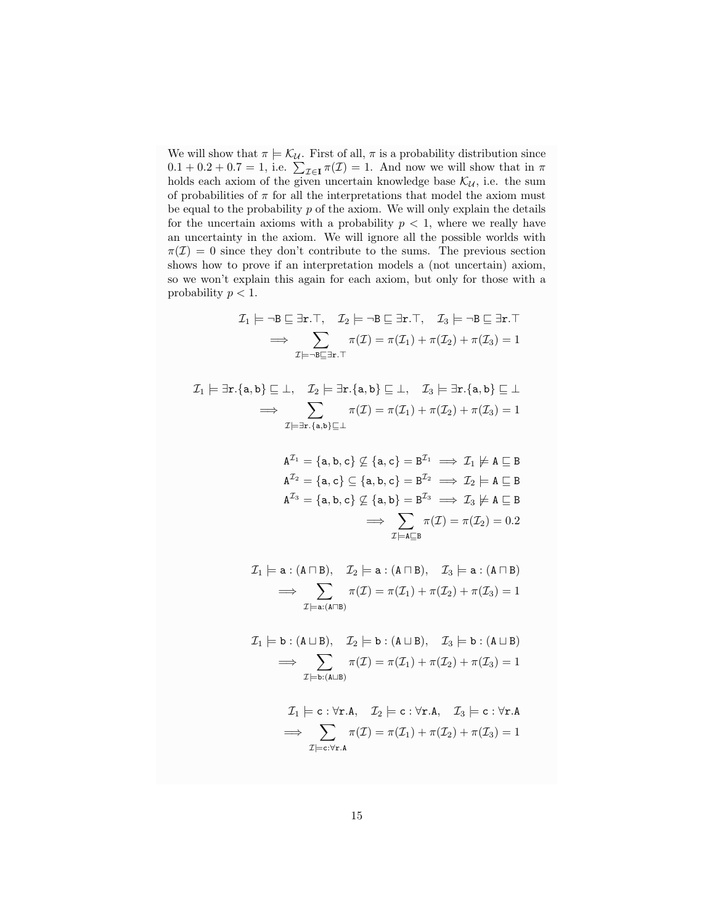We will show that  $\pi \models \mathcal{K}_{\mathcal{U}}$ . First of all,  $\pi$  is a probability distribution since  $0.1 + 0.2 + 0.7 = 1$ , i.e.  $\sum_{\mathcal{I} \in \mathbf{I}} \pi(\mathcal{I}) = 1$ . And now we will show that in  $\pi$ holds each axiom of the given uncertain knowledge base  $\mathcal{K}_{\mathcal{U}}$ , i.e. the sum of probabilities of  $\pi$  for all the interpretations that model the axiom must be equal to the probability  $p$  of the axiom. We will only explain the details for the uncertain axioms with a probability  $p < 1$ , where we really have an uncertainty in the axiom. We will ignore all the possible worlds with  $\pi(\mathcal{I}) = 0$  since they don't contribute to the sums. The previous section shows how to prove if an interpretation models a (not uncertain) axiom, so we won't explain this again for each axiom, but only for those with a probability  $p < 1$ .

$$
\mathcal{I}_1 \models \neg B \sqsubseteq \exists \mathbf{r}. \top, \quad \mathcal{I}_2 \models \neg B \sqsubseteq \exists \mathbf{r}. \top, \quad \mathcal{I}_3 \models \neg B \sqsubseteq \exists \mathbf{r}. \top
$$

$$
\implies \sum_{\mathcal{I} \models \neg B \sqsubseteq \exists \mathbf{r}. \top} \pi(\mathcal{I}) = \pi(\mathcal{I}_1) + \pi(\mathcal{I}_2) + \pi(\mathcal{I}_3) = 1
$$

$$
\mathcal{I}_1 \models \exists \mathbf{r}. \{\mathbf{a}, \mathbf{b}\} \sqsubseteq \bot, \quad \mathcal{I}_2 \models \exists \mathbf{r}. \{\mathbf{a}, \mathbf{b}\} \sqsubseteq \bot, \quad \mathcal{I}_3 \models \exists \mathbf{r}. \{\mathbf{a}, \mathbf{b}\} \sqsubseteq \bot
$$

$$
\implies \sum_{\mathcal{I} \models \exists \mathbf{r}. \{\mathbf{a}, \mathbf{b}\} \sqsubseteq \bot} \pi(\mathcal{I}) = \pi(\mathcal{I}_1) + \pi(\mathcal{I}_2) + \pi(\mathcal{I}_3) = 1
$$

$$
A^{\mathcal{I}_1} = \{a, b, c\} \not\subseteq \{a, c\} = B^{\mathcal{I}_1} \implies \mathcal{I}_1 \not\models A \sqsubseteq B
$$
\n
$$
A^{\mathcal{I}_2} = \{a, c\} \subseteq \{a, b, c\} = B^{\mathcal{I}_2} \implies \mathcal{I}_2 \models A \sqsubseteq B
$$
\n
$$
A^{\mathcal{I}_3} = \{a, b, c\} \not\subseteq \{a, b\} = B^{\mathcal{I}_3} \implies \mathcal{I}_3 \not\models A \sqsubseteq B
$$
\n
$$
\implies \sum_{\mathcal{I} \models A \sqsubseteq B} \pi(\mathcal{I}) = \pi(\mathcal{I}_2) = 0.2
$$

$$
\mathcal{I}_1 \models \mathbf{a} : (\mathbf{A} \sqcap \mathbf{B}), \quad \mathcal{I}_2 \models \mathbf{a} : (\mathbf{A} \sqcap \mathbf{B}), \quad \mathcal{I}_3 \models \mathbf{a} : (\mathbf{A} \sqcap \mathbf{B})
$$

$$
\implies \sum_{\mathcal{I} \models \mathbf{a}: (\mathbf{A} \sqcap \mathbf{B})} \pi(\mathcal{I}) = \pi(\mathcal{I}_1) + \pi(\mathcal{I}_2) + \pi(\mathcal{I}_3) = 1
$$

$$
\mathcal{I}_1 \models b : (A \sqcup B), \quad \mathcal{I}_2 \models b : (A \sqcup B), \quad \mathcal{I}_3 \models b : (A \sqcup B)
$$

$$
\implies \sum_{\mathcal{I} \models b : (A \sqcup B)} \pi(\mathcal{I}) = \pi(\mathcal{I}_1) + \pi(\mathcal{I}_2) + \pi(\mathcal{I}_3) = 1
$$

$$
\mathcal{I}_1 \models c : \forall \mathbf{r}.\mathbf{A}, \quad \mathcal{I}_2 \models c : \forall \mathbf{r}.\mathbf{A}, \quad \mathcal{I}_3 \models c : \forall \mathbf{r}.\mathbf{A}
$$
\n
$$
\implies \sum_{\mathcal{I} \models c : \forall \mathbf{r}.\mathbf{A}} \pi(\mathcal{I}) = \pi(\mathcal{I}_1) + \pi(\mathcal{I}_2) + \pi(\mathcal{I}_3) = 1
$$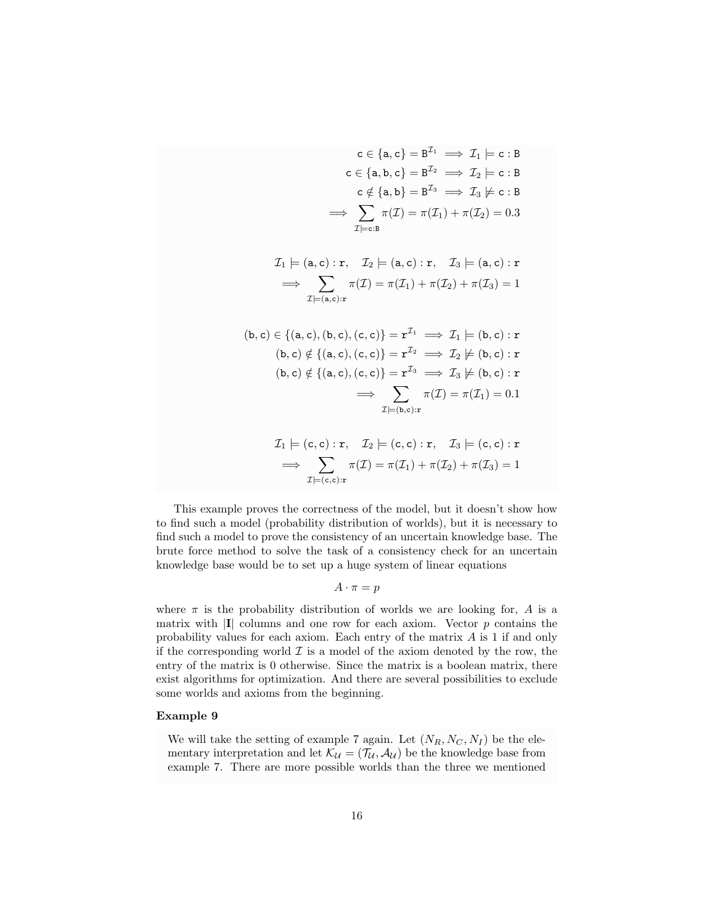$$
c \in \{a, c\} = B^{\mathcal{I}_1} \implies \mathcal{I}_1 \models c : B
$$
  
\n
$$
c \in \{a, b, c\} = B^{\mathcal{I}_2} \implies \mathcal{I}_2 \models c : B
$$
  
\n
$$
c \notin \{a, b\} = B^{\mathcal{I}_3} \implies \mathcal{I}_3 \not\models c : B
$$
  
\n
$$
\implies \sum_{\mathcal{I} \models c : B} \pi(\mathcal{I}) = \pi(\mathcal{I}_1) + \pi(\mathcal{I}_2) = 0.3
$$
  
\n
$$
\mathcal{I}_1 \models (a, c) : r, \quad \mathcal{I}_2 \models (a, c) : r, \quad \mathcal{I}_3 \models (a, c) : r
$$
  
\n
$$
\implies \sum_{\mathcal{I} \models (a, c) : r} \pi(\mathcal{I}) = \pi(\mathcal{I}_1) + \pi(\mathcal{I}_2) + \pi(\mathcal{I}_3) = 1
$$
  
\n
$$
\text{(b, c) } \in \{(a, c), (b, c), (c, c)\} = r^{\mathcal{I}_1} \implies \mathcal{I}_1 \models (b, c) : r
$$
  
\n
$$
\text{(b, c) } \notin \{(a, c), (c, c)\} = r^{\mathcal{I}_2} \implies \mathcal{I}_2 \not\models (b, c) : r
$$
  
\n
$$
\implies \sum_{\mathcal{I} \models (b, c) : r} \pi(\mathcal{I}) = \pi(\mathcal{I}_1) = 0.1
$$
  
\n
$$
\mathcal{I}_1 \models (c, c) : r, \quad \mathcal{I}_2 \models (c, c) : r, \quad \mathcal{I}_3 \models (c, c) : r
$$
  
\n
$$
\implies \sum_{\mathcal{I} \models (c, c) : r} \pi(\mathcal{I}) = \pi(\mathcal{I}_1) + \pi(\mathcal{I}_2) + \pi(\mathcal{I}_3) = 1
$$

This example proves the correctness of the model, but it doesn't show how to find such a model (probability distribution of worlds), but it is necessary to find such a model to prove the consistency of an uncertain knowledge base. The brute force method to solve the task of a consistency check for an uncertain knowledge base would be to set up a huge system of linear equations

 $A \cdot \pi = p$ 

where  $\pi$  is the probability distribution of worlds we are looking for, A is a matrix with  $|I|$  columns and one row for each axiom. Vector  $p$  contains the probability values for each axiom. Each entry of the matrix A is 1 if and only if the corresponding world  $\mathcal I$  is a model of the axiom denoted by the row, the entry of the matrix is 0 otherwise. Since the matrix is a boolean matrix, there exist algorithms for optimization. And there are several possibilities to exclude some worlds and axioms from the beginning.

# Example 9

We will take the setting of example 7 again. Let  $(N_R, N_C, N_I)$  be the elementary interpretation and let  $\mathcal{K}_{\mathcal{U}} = (\mathcal{T}_{\mathcal{U}}, \mathcal{A}_{\mathcal{U}})$  be the knowledge base from example 7. There are more possible worlds than the three we mentioned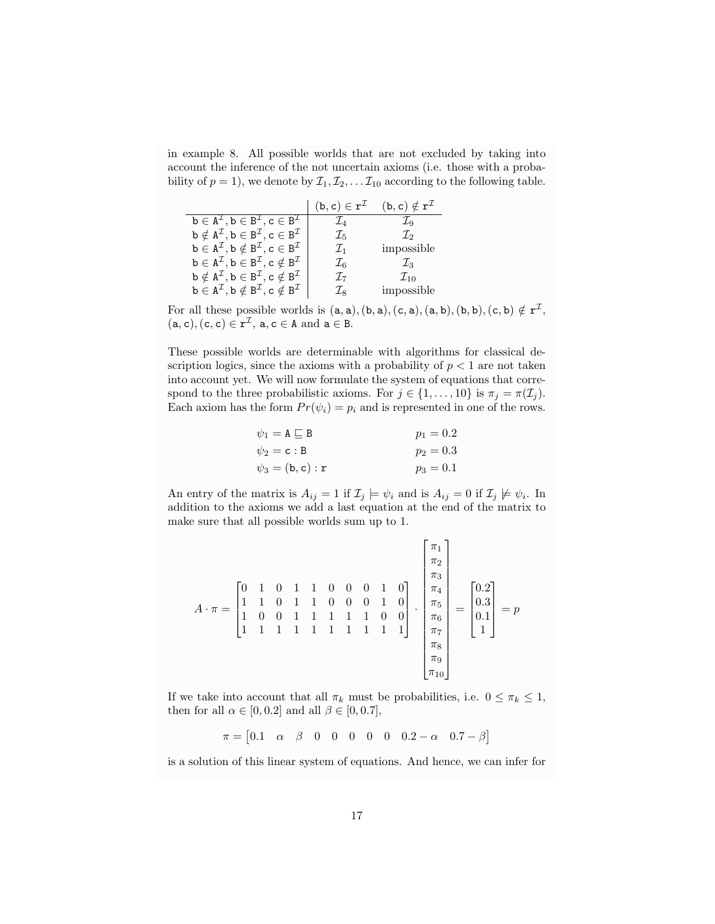in example 8. All possible worlds that are not excluded by taking into account the inference of the not uncertain axioms (i.e. those with a probability of  $p = 1$ ), we denote by  $\mathcal{I}_1, \mathcal{I}_2, \ldots, \mathcal{I}_{10}$  according to the following table.

|                                                                                                                                   | $(b, c) \in r^{\mathcal{I}}$ | $(b, c) \notin r^{\mathcal{I}}$ |
|-----------------------------------------------------------------------------------------------------------------------------------|------------------------------|---------------------------------|
| $\mathbf{b} \in \mathbf{A}^{\mathcal{I}}, \mathbf{b} \in \mathbf{B}^{\mathcal{I}}, \mathbf{c} \in \mathbf{B}^{\mathcal{I}}$       | $\mathcal{I}_4$              | $\mathcal{I}_9$                 |
| $\mathbf{b} \notin \mathbf{A}^{\mathcal{I}}, \mathbf{b} \in \mathbf{B}^{\mathcal{I}}, \mathbf{c} \in \mathbf{B}^{\mathcal{I}}$    | $\mathcal{I}_{5}$            | $\mathcal{I}_2$                 |
| $\mathbf{b} \in \mathbf{A}^{\mathcal{I}}, \mathbf{b} \notin \mathbf{B}^{\mathcal{I}}, \mathbf{c} \in \mathbf{B}^{\mathcal{I}}$    | $\mathcal{I}_1$              | impossible                      |
| $\mathbf{b} \in \mathbf{A}^{\mathcal{I}}, \mathbf{b} \in \mathbf{B}^{\mathcal{I}}, \mathbf{c} \notin \mathbf{B}^{\mathcal{I}}$    | $\mathcal{I}_6$              | $\mathcal{L}_3$                 |
| $\mathbf{b} \notin \mathbf{A}^{\mathcal{I}}, \mathbf{b} \in \mathbf{B}^{\mathcal{I}}, \mathbf{c} \notin \mathbf{B}^{\mathcal{I}}$ | $\mathcal{I}_{7}$            | $\mathcal{I}_{10}$              |
| $\mathbf{b} \in \mathbf{A}^{\mathcal{I}}, \mathbf{b} \notin \mathbf{B}^{\mathcal{I}}, \mathbf{c} \notin \mathbf{B}^{\mathcal{I}}$ | $\mathcal{I}_{8}$            | impossible                      |

For all these possible worlds is  $(a, a)$ ,  $(b, a)$ ,  $(c, a)$ ,  $(a, b)$ ,  $(b, b)$ ,  $(c, b) \notin r^{\mathcal{I}}$ ,  $(a, c), (c, c) \in r^{\mathcal{I}}, a, c \in A \text{ and } a \in B.$ 

These possible worlds are determinable with algorithms for classical description logics, since the axioms with a probability of  $p < 1$  are not taken into account yet. We will now formulate the system of equations that correspond to the three probabilistic axioms. For  $j \in \{1, ..., 10\}$  is  $\pi_j = \pi(\mathcal{I}_j)$ . Each axiom has the form  $Pr(\psi_i) = p_i$  and is represented in one of the rows.

$$
\psi_1 = \mathbf{A} \sqsubseteq \mathbf{B} \qquad p_1 = 0.2
$$
  
\n
$$
\psi_2 = \mathbf{c} : \mathbf{B} \qquad p_2 = 0.3
$$
  
\n
$$
\psi_3 = (\mathbf{b}, \mathbf{c}) : \mathbf{r} \qquad p_3 = 0.1
$$

An entry of the matrix is  $A_{ij} = 1$  if  $\mathcal{I}_j \models \psi_i$  and is  $A_{ij} = 0$  if  $\mathcal{I}_j \not\models \psi_i$ . In addition to the axioms we add a last equation at the end of the matrix to make sure that all possible worlds sum up to 1.

$$
A \cdot \pi = \begin{bmatrix} 0 & 1 & 0 & 1 & 1 & 0 & 0 & 0 & 1 & 0 \\ 1 & 1 & 0 & 1 & 1 & 0 & 0 & 0 & 1 & 0 \\ 1 & 0 & 0 & 1 & 1 & 1 & 1 & 1 & 1 & 0 & 0 \\ 1 & 1 & 1 & 1 & 1 & 1 & 1 & 1 & 1 & 1 \end{bmatrix} \cdot \begin{bmatrix} \pi_1 \\ \pi_2 \\ \pi_3 \\ \pi_4 \\ \pi_5 \\ \pi_6 \\ \pi_7 \\ \pi_8 \\ \pi_9 \\ \pi_{10} \\ \pi_{10} \end{bmatrix} = p
$$

If we take into account that all  $\pi_k$  must be probabilities, i.e.  $0 \leq \pi_k \leq 1$ , then for all  $\alpha \in [0, 0.2]$  and all  $\beta \in [0, 0.7]$ ,

$$
\pi = [0.1 \quad \alpha \quad \beta \quad 0 \quad 0 \quad 0 \quad 0 \quad 0 \quad 0.2 - \alpha \quad 0.7 - \beta]
$$

is a solution of this linear system of equations. And hence, we can infer for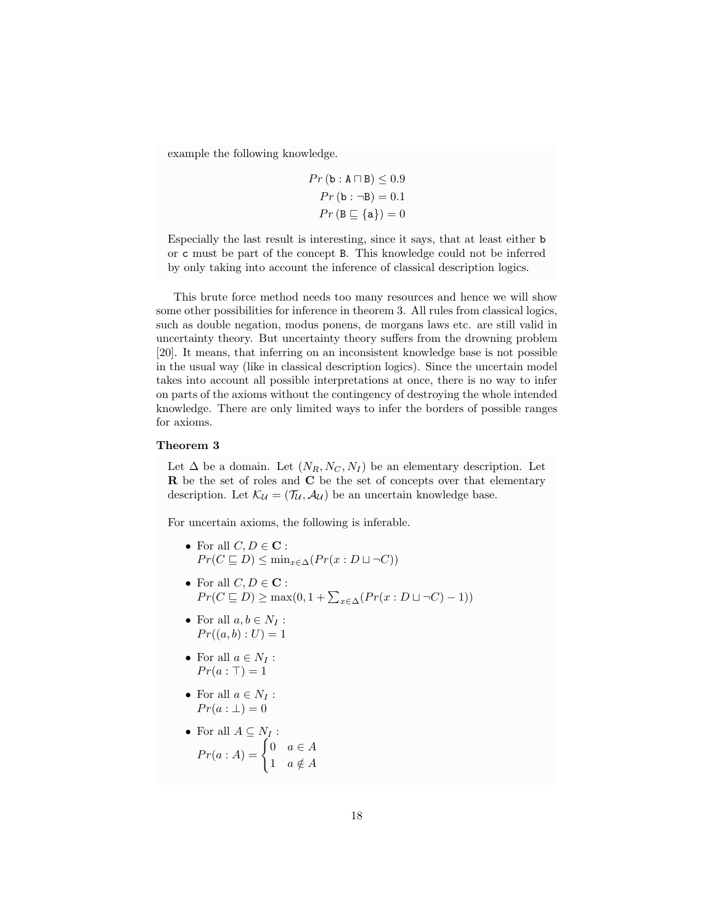example the following knowledge.

$$
Pr(\mathbf{b} : \mathbf{A} \sqcap \mathbf{B}) \le 0.9
$$

$$
Pr(\mathbf{b} : \neg \mathbf{B}) = 0.1
$$

$$
Pr(\mathbf{B} \sqsubseteq \{\mathbf{a}\}) = 0
$$

Especially the last result is interesting, since it says, that at least either b or c must be part of the concept B. This knowledge could not be inferred by only taking into account the inference of classical description logics.

This brute force method needs too many resources and hence we will show some other possibilities for inference in theorem 3. All rules from classical logics, such as double negation, modus ponens, de morgans laws etc. are still valid in uncertainty theory. But uncertainty theory suffers from the drowning problem [20]. It means, that inferring on an inconsistent knowledge base is not possible in the usual way (like in classical description logics). Since the uncertain model takes into account all possible interpretations at once, there is no way to infer on parts of the axioms without the contingency of destroying the whole intended knowledge. There are only limited ways to infer the borders of possible ranges for axioms.

# Theorem 3

Let  $\Delta$  be a domain. Let  $(N_R, N_C, N_I)$  be an elementary description. Let R be the set of roles and C be the set of concepts over that elementary description. Let  $\mathcal{K}_{\mathcal{U}} = (\mathcal{T}_{\mathcal{U}}, \mathcal{A}_{\mathcal{U}})$  be an uncertain knowledge base.

For uncertain axioms, the following is inferable.

- For all  $C, D \in \mathbf{C}$ :  $Pr(C \sqsubset D) \leq \min_{x \in \Delta}(Pr(x : D \sqcup \neg C))$
- For all  $C, D \in \mathbf{C}$ :  $Pr(C \sqsubseteq D) \ge \max(0, 1 + \sum_{x \in \Delta} (Pr(x : D \sqcup \neg C) - 1))$
- For all  $a, b \in N_I$ :  $Pr((a, b) : U) = 1$
- For all  $a \in N_I$ :  $Pr(a : \top) = 1$
- For all  $a \in N_I$ :  $Pr(a: \perp) = 0$
- For all  $A \subseteq N_I$ :  $Pr(a : A) = \begin{cases} 0 & a \in A \\ 1 & \text{if } A \end{cases}$ 1  $a \notin A$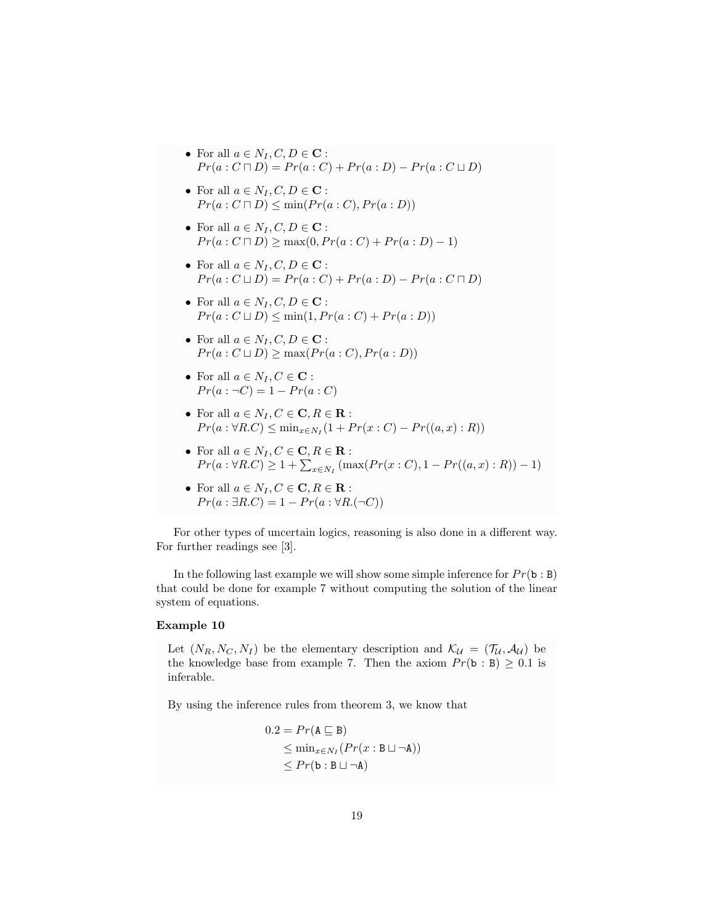- For all  $a \in N_I, C, D \in \mathbf{C}$ :  $Pr(a: C \sqcap D) = Pr(a:C) + Pr(a:D) - Pr(a:C \sqcup D)$
- For all  $a \in N_I, C, D \in \mathbf{C}$ :  $Pr(a: C \sqcap D) \leq min(Pr(a: C), Pr(a: D))$
- For all  $a \in N_I, C, D \in \mathbf{C}$ :  $Pr(a : C \sqcap D) \ge \max(0, Pr(a : C) + Pr(a : D) - 1)$
- For all  $a \in N_I, C, D \in \mathbf{C}$ :  $Pr(a : C \sqcup D) = Pr(a : C) + Pr(a : D) - Pr(a : C \sqcap D)$
- For all  $a \in N_I, C, D \in \mathbf{C}$ :  $Pr(a : C \sqcup D) \leq min(1, Pr(a : C) + Pr(a : D))$
- For all  $a \in N_I, C, D \in \mathbf{C}$ :  $Pr(a: C \sqcup D) \ge \max(Pr(a: C), Pr(a: D))$
- For all  $a \in N_I, C \in \mathbf{C}$ :  $Pr(a: \neg C) = 1 - Pr(a:C)$
- For all  $a \in N_I, C \in \mathbf{C}, R \in \mathbf{R}$ :  $Pr(a : \forall R.C) \leq \min_{x \in N_I} (1 + Pr(x : C) - Pr((a, x) : R))$
- For all  $a \in N_I, C \in \mathbf{C}, R \in \mathbf{R}$ :  $Pr(a: \forall R.C) \geq 1 + \sum_{x \in N_I} (\max(Pr(x : C), 1 - Pr((a, x) : R)) - 1)$
- For all  $a \in N_I, C \in \mathbf{C}, R \in \mathbf{R}$ :  $Pr(a : \exists R.C) = 1 - Pr(a : \forall R.(\neg C))$

For other types of uncertain logics, reasoning is also done in a different way. For further readings see [3].

In the following last example we will show some simple inference for  $Pr(\mathbf{b} : \mathbf{B})$ that could be done for example 7 without computing the solution of the linear system of equations.

# Example 10

Let  $(N_R, N_C, N_I)$  be the elementary description and  $\mathcal{K}_{\mathcal{U}} = (\mathcal{T}_{\mathcal{U}}, \mathcal{A}_{\mathcal{U}})$  be the knowledge base from example 7. Then the axiom  $Pr(\mathbf{b} : \mathbf{B}) \geq 0.1$  is inferable.

By using the inference rules from theorem 3, we know that

$$
0.2 = Pr(A \sqsubseteq B)
$$
  
\n
$$
\leq \min_{x \in N_I} (Pr(x : B \sqcup \neg A))
$$
  
\n
$$
\leq Pr(b : B \sqcup \neg A)
$$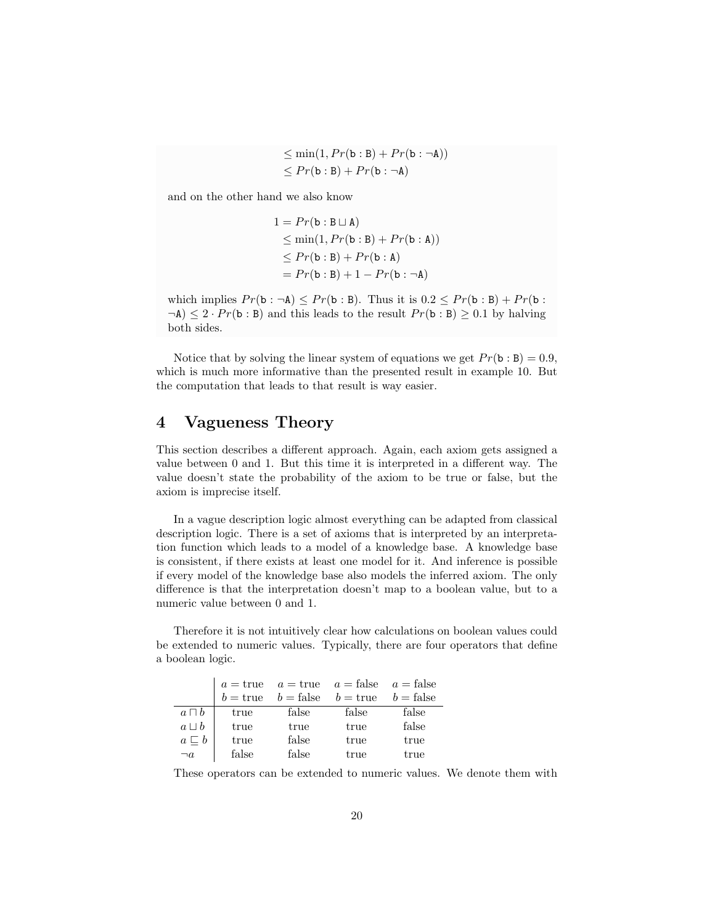$$
\leq \min(1, Pr(\mathbf{b} : \mathbf{B}) + Pr(\mathbf{b} : \neg \mathbf{A}))
$$
  

$$
\leq Pr(\mathbf{b} : \mathbf{B}) + Pr(\mathbf{b} : \neg \mathbf{A})
$$

and on the other hand we also know

$$
1 = Pr(\mathbf{b} : \mathbf{B} \sqcup \mathbf{A})
$$
  
\n
$$
\leq \min(1, Pr(\mathbf{b} : \mathbf{B}) + Pr(\mathbf{b} : \mathbf{A}))
$$
  
\n
$$
\leq Pr(\mathbf{b} : \mathbf{B}) + Pr(\mathbf{b} : \mathbf{A})
$$
  
\n
$$
= Pr(\mathbf{b} : \mathbf{B}) + 1 - Pr(\mathbf{b} : \neg \mathbf{A})
$$

which implies  $Pr(\mathbf{b} : \neg \mathbf{A}) \leq Pr(\mathbf{b} : \mathbf{B})$ . Thus it is  $0.2 \leq Pr(\mathbf{b} : \mathbf{B}) + Pr(\mathbf{b} : \mathbf{B})$  $\neg A$ )  $\leq 2 \cdot Pr(b : B)$  and this leads to the result  $Pr(b : B) \geq 0.1$  by halving both sides.

Notice that by solving the linear system of equations we get  $Pr(\mathbf{b} : \mathbf{B}) = 0.9$ , which is much more informative than the presented result in example 10. But the computation that leads to that result is way easier.

# 4 Vagueness Theory

This section describes a different approach. Again, each axiom gets assigned a value between 0 and 1. But this time it is interpreted in a different way. The value doesn't state the probability of the axiom to be true or false, but the axiom is imprecise itself.

In a vague description logic almost everything can be adapted from classical description logic. There is a set of axioms that is interpreted by an interpretation function which leads to a model of a knowledge base. A knowledge base is consistent, if there exists at least one model for it. And inference is possible if every model of the knowledge base also models the inferred axiom. The only difference is that the interpretation doesn't map to a boolean value, but to a numeric value between 0 and 1.

Therefore it is not intuitively clear how calculations on boolean values could be extended to numeric values. Typically, there are four operators that define a boolean logic.

|                   |                   |                    | $a = \text{true}$ $a = \text{true}$ $a = \text{false}$ $a = \text{false}$ |             |
|-------------------|-------------------|--------------------|---------------------------------------------------------------------------|-------------|
|                   | $b = \text{true}$ | $b = \text{false}$ | $b = \text{true}$                                                         | $b = false$ |
| $a \sqcap b$      | true              | false              | false                                                                     | false       |
| $a \sqcup b$      | true              | true               | true                                                                      | false       |
| $a \sqsubseteq b$ | true              | false              | true                                                                      | true        |
| $\neg a$          | false             | false              | true                                                                      | true        |

These operators can be extended to numeric values. We denote them with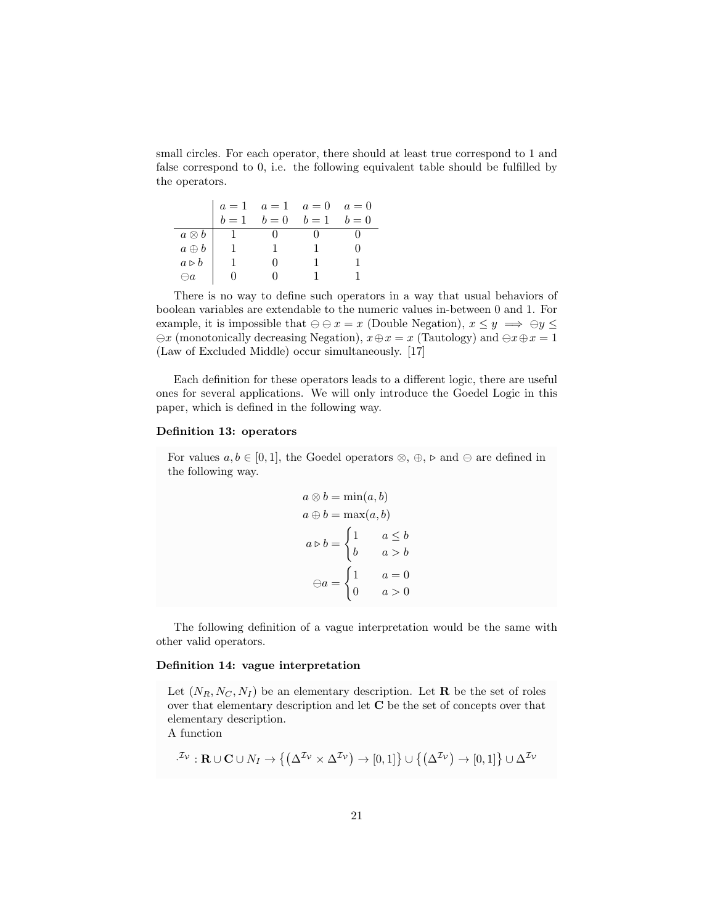small circles. For each operator, there should at least true correspond to 1 and false correspond to 0, i.e. the following equivalent table should be fulfilled by the operators.

|                      |       | $a = 1$ $a = 1$ $a = 0$ $a = 0$ |       |       |
|----------------------|-------|---------------------------------|-------|-------|
|                      | $b=1$ | $b=0$                           | $b=1$ | $b=0$ |
| $a\otimes b$         |       |                                 |       |       |
| $a \oplus b$         |       |                                 |       |       |
| $a \triangleright b$ |       |                                 |       |       |
|                      |       |                                 |       |       |

There is no way to define such operators in a way that usual behaviors of boolean variables are extendable to the numeric values in-between 0 and 1. For example, it is impossible that  $\ominus \ominus x = x$  (Double Negation),  $x \leq y \implies \ominus y \leq y$  $\ominus x$  (monotonically decreasing Negation),  $x \oplus x = x$  (Tautology) and  $\ominus x \oplus x = 1$ (Law of Excluded Middle) occur simultaneously. [17]

Each definition for these operators leads to a different logic, there are useful ones for several applications. We will only introduce the Goedel Logic in this paper, which is defined in the following way.

# Definition 13: operators

For values  $a, b \in [0, 1]$ , the Goedel operators  $\otimes$ ,  $\oplus$ ,  $\triangleright$  and  $\ominus$  are defined in the following way.

$$
a \otimes b = \min(a, b)
$$

$$
a \oplus b = \max(a, b)
$$

$$
a \triangleright b = \begin{cases} 1 & a \le b \\ b & a > b \end{cases}
$$

$$
\ominus a = \begin{cases} 1 & a = 0 \\ 0 & a > 0 \end{cases}
$$

The following definition of a vague interpretation would be the same with other valid operators.

# Definition 14: vague interpretation

Let  $(N_R, N_C, N_I)$  be an elementary description. Let **R** be the set of roles over that elementary description and let C be the set of concepts over that elementary description.

A function

$$
L^{\mathcal{I}_{\mathcal{V}}} : \mathbf{R} \cup \mathbf{C} \cup N_I \to \left\{ \left( \Delta^{\mathcal{I}_{\mathcal{V}}} \times \Delta^{\mathcal{I}_{\mathcal{V}}} \right) \to [0,1] \right\} \cup \left\{ \left( \Delta^{\mathcal{I}_{\mathcal{V}}} \right) \to [0,1] \right\} \cup \Delta^{\mathcal{I}_{\mathcal{V}}}
$$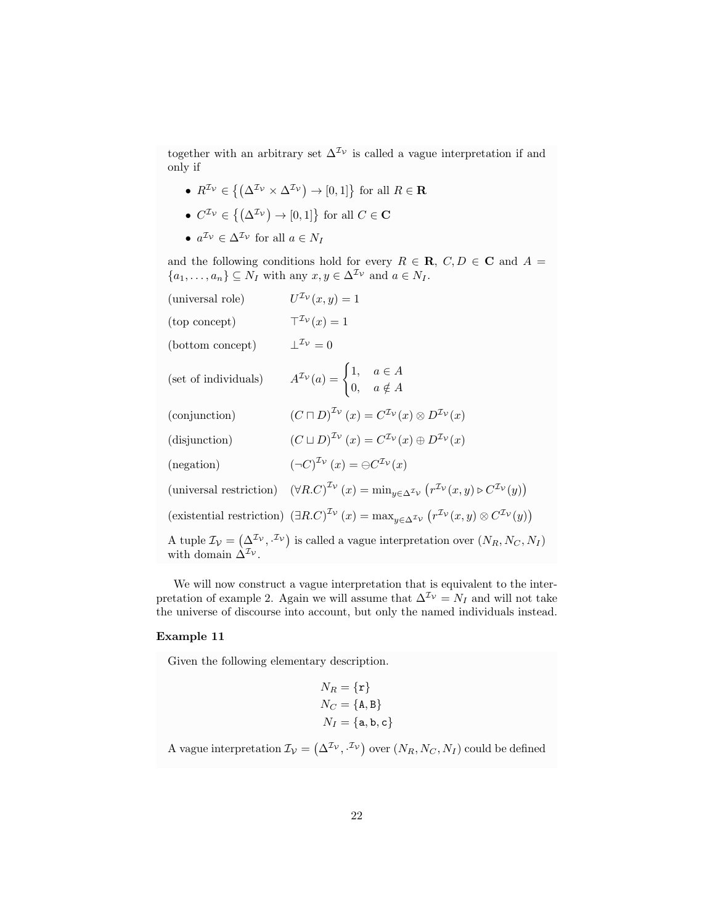together with an arbitrary set  $\Delta^{\mathcal{I}_{\mathcal{V}}}$  is called a vague interpretation if and only if

- $R^{\mathcal{I}_{\mathcal{V}}} \in \{(\Delta^{\mathcal{I}_{\mathcal{V}}} \times \Delta^{\mathcal{I}_{\mathcal{V}}}) \to [0, 1]\}$  for all  $R \in \mathbf{R}$
- $C^{\mathcal{I}_{\mathcal{V}}} \in \{(\Delta^{\mathcal{I}_{\mathcal{V}}}) \to [0,1]\}\)$  for all  $C \in \mathbf{C}$
- $a^{\mathcal{I}_{\mathcal{V}}} \in \Delta^{\mathcal{I}_{\mathcal{V}}}$  for all  $a \in N_I$

and the following conditions hold for every  $R \in \mathbf{R}$ ,  $C, D \in \mathbf{C}$  and  $A =$  $\{a_1, \ldots, a_n\} \subseteq N_I$  with any  $x, y \in \Delta^{\mathcal{I}_{\mathcal{V}}}$  and  $a \in N_I$ .

| (universal role)         | $U^{\mathcal{I}_{\mathcal{V}}}(x,y)=1$                                                                                                                                                                         |
|--------------------------|----------------------------------------------------------------------------------------------------------------------------------------------------------------------------------------------------------------|
| (top concept)            | $T^{\mathcal{I}_{\mathcal{V}}}(x)=1$                                                                                                                                                                           |
| (bottom concept)         | $\perp^{\mathcal{I}_{\mathcal{V}}}=0$                                                                                                                                                                          |
| (set of individuals)     | $A^{\mathcal{I}_{\mathcal{V}}}(a) = \begin{cases} 1, & a \in A \\ 0, & a \notin A \end{cases}$                                                                                                                 |
| (conjunction)            | $(C\sqcap D)^{\mathcal{I}_{\mathcal{V}}}(x)=C^{\mathcal{I}_{\mathcal{V}}}(x)\otimes D^{\mathcal{I}_{\mathcal{V}}}(x)$                                                                                          |
| (disjunction)            | $\left(C\sqcup D\right)^{\mathcal{I}_{\mathcal{V}}}(x)=C^{\mathcal{I}_{\mathcal{V}}}(x)\oplus D^{\mathcal{I}_{\mathcal{V}}}(x)$                                                                                |
| (negation)               | $(\neg C)^{\mathcal{I}_{\mathcal{V}}}(x) = \ominus C^{\mathcal{I}_{\mathcal{V}}}(x)$                                                                                                                           |
|                          | (universal restriction) $(\forall R.C)^{\mathcal{I}_{\mathcal{V}}}(x) = \min_{y \in \Delta^{\mathcal{I}_{\mathcal{V}}}} (r^{\mathcal{I}_{\mathcal{V}}}(x, y) \triangleright C^{\mathcal{I}_{\mathcal{V}}}(y))$ |
|                          | (existential restriction) $(\exists R.C)^{\mathcal{I}_{\mathcal{V}}}(x) = \max_{y \in \Delta^{\mathcal{I}_{\mathcal{V}}}} (r^{\mathcal{I}_{\mathcal{V}}}(x, y) \otimes C^{\mathcal{I}_{\mathcal{V}}}(y))$      |
| with domain $\Delta^2$ . | A tuple $\mathcal{I}_{\mathcal{V}} = (\Delta^{\mathcal{I}_{\mathcal{V}}}, \mathcal{I}_{\mathcal{V}})$ is called a vague interpretation over $(N_R, N_C, N_I)$                                                  |

We will now construct a vague interpretation that is equivalent to the interpretation of example 2. Again we will assume that  $\Delta^{I_V} = N_I$  and will not take the universe of discourse into account, but only the named individuals instead.

# Example 11

Given the following elementary description.

$$
N_R = \{r\}
$$
  

$$
N_C = \{A, B\}
$$
  

$$
N_I = \{a, b, c\}
$$

A vague interpretation  $\mathcal{I}_{\mathcal{V}} = (\Delta^{\mathcal{I}_{\mathcal{V}}}, \cdot^{\mathcal{I}_{\mathcal{V}}})$  over  $(N_R, N_C, N_I)$  could be defined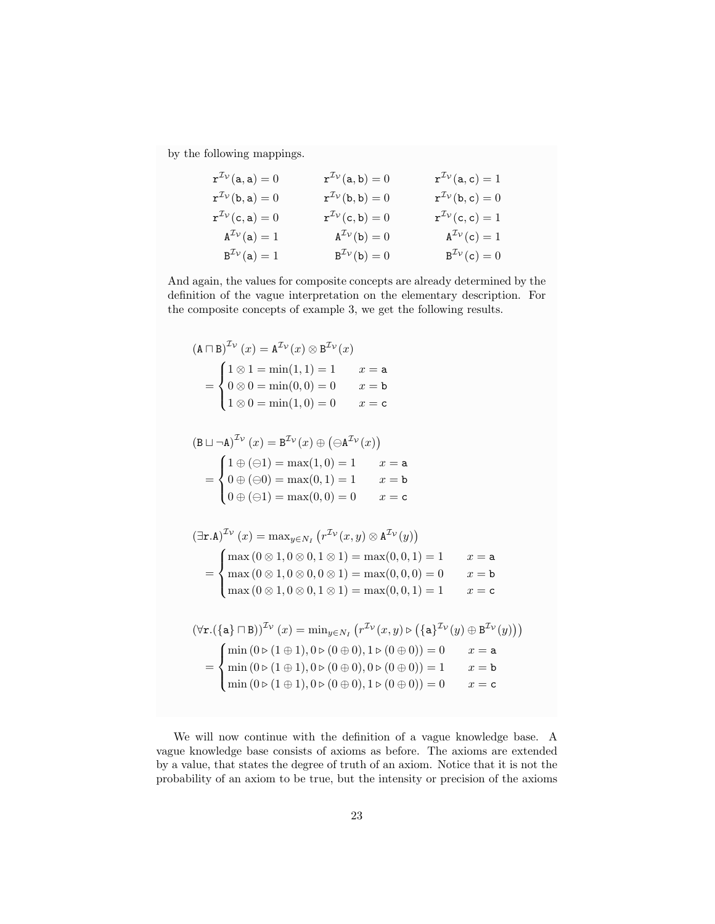by the following mappings.

| $\mathbf{r}^{\mathcal{I}\mathcal{V}}(\mathbf{a},\mathbf{a})=0$ | $\mathbf{r}^{\mathcal{I}\mathcal{V}}(\mathsf{a},\mathsf{b})=0$ | $\mathbf{r}^{\mathcal{I}\mathcal{V}}(\mathbf{a},\mathbf{c})=1$    |
|----------------------------------------------------------------|----------------------------------------------------------------|-------------------------------------------------------------------|
| $\mathbf{r}^{\mathcal{I}\mathcal{V}}(\mathbf{b},\mathbf{a})=0$ | $\mathbf{r}^{\mathcal{I}\mathcal{V}}(\mathsf{b},\mathsf{b})=0$ | $\mathbf{r}^{\mathcal{I}\mathcal{V}}(\mathbf{b}, \mathbf{c}) = 0$ |
| $\mathbf{r}^{\mathcal{I}\mathcal{V}}(\mathsf{c},\mathsf{a})=0$ | $\mathbf{r}^{\mathcal{I}\mathcal{V}}(\mathsf{c},\mathsf{b})=0$ | $\mathbf{r}^{\mathcal{I}\mathcal{V}}(\mathsf{c},\mathsf{c})=1$    |
| $A^{\mathcal{I}\mathcal{V}}(a)=1$                              | $A^{\mathcal{I}_{\mathcal{V}}}(b) = 0$                         | $A^{\mathcal{I}\mathcal{V}}(c)=1$                                 |
| $B^2v(a)=1$                                                    | $B^{\mathcal{I}\mathcal{V}}(b)=0$                              | $B^{\mathcal{I}_{\mathcal{V}}}(c)=0$                              |

And again, the values for composite concepts are already determined by the definition of the vague interpretation on the elementary description. For the composite concepts of example 3, we get the following results.

$$
(\mathbf{A} \cap \mathbf{B})^{T_V}(x) = \mathbf{A}^{T_V}(x) \otimes \mathbf{B}^{T_V}(x)
$$
  
\n
$$
= \begin{cases} 1 \otimes 1 = \min(1, 1) = 1 & x = \mathbf{a} \\ 0 \otimes 0 = \min(0, 0) = 0 & x = \mathbf{b} \end{cases}
$$
  
\n
$$
= \begin{cases} 1 \otimes (\exists 1) = \min(1, 0) = 0 & x = \mathbf{c} \end{cases}
$$
  
\n
$$
= \begin{cases} 1 \oplus (\exists 1) = \max(1, 0) = 1 & x = \mathbf{a} \\ 0 \oplus (\infty) = \max(0, 1) = 1 & x = \mathbf{b} \end{cases}
$$
  
\n
$$
= \begin{cases} 1 \oplus (\exists 1) = \max(0, 1) = 1 & x = \mathbf{b} \\ 0 \oplus (\infty) = \max(0, 0) = 0 & x = \mathbf{c} \end{cases}
$$
  
\n
$$
= \begin{cases} \max(0 \otimes 1, 0 \otimes 0, 1 \otimes 1) = \max(0, 0, 1) = 1 & x = \mathbf{a} \\ \max(0 \otimes 1, 0 \otimes 0, 0 \otimes 1) = \max(0, 0, 1) = 1 & x = \mathbf{a} \\ \max(0 \otimes 1, 0 \otimes 0, 0 \otimes 1) = \max(0, 0, 1) = 1 & x = \mathbf{c} \end{cases}
$$
  
\n
$$
= \begin{cases} \forall \mathbf{r}.(\{\mathbf{a}\} \cap \mathbf{B})\}^{T_V}(x) = \min_{y \in N_I} (r^{T_V}(x, y) \triangleright (\{\mathbf{a}\}^{T_V}(y) \oplus \mathbf{B}^{T_V}(y))) \\ \min(0 \triangleright (1 \oplus 1), 0 \triangleright (0 \oplus 0), 1 \triangleright (0 \oplus 0)) = 0 & x = \mathbf{a} \\ \min(0 \triangleright (1 \oplus 1), 0 \triangleright (0 \oplus 0), 0 \triangleright (0 \oplus 0)) = 1 & x = \mathbf{b} \\ \min(0 \triangleright (1 \oplus 1), 0 \tri
$$

We will now continue with the definition of a vague knowledge base. A vague knowledge base consists of axioms as before. The axioms are extended by a value, that states the degree of truth of an axiom. Notice that it is not the probability of an axiom to be true, but the intensity or precision of the axioms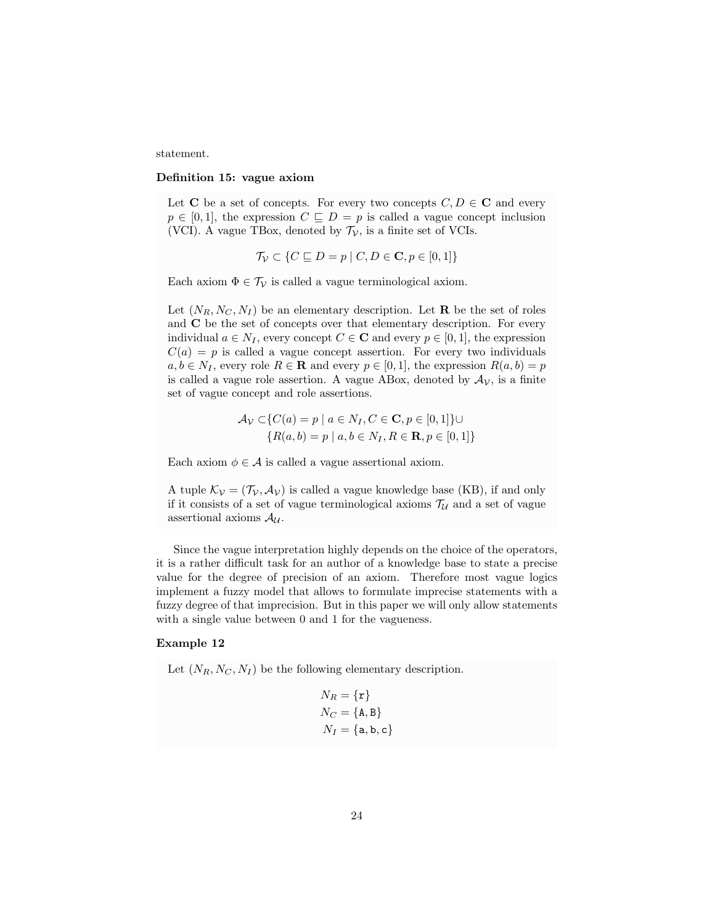statement.

#### Definition 15: vague axiom

Let C be a set of concepts. For every two concepts  $C, D \in \mathbb{C}$  and every  $p \in [0, 1]$ , the expression  $C \subseteq D = p$  is called a vague concept inclusion (VCI). A vague TBox, denoted by  $\mathcal{T}_{\mathcal{V}}$ , is a finite set of VCIs.

$$
\mathcal{T}_{\mathcal{V}} \subset \{ C \sqsubseteq D = p \mid C, D \in \mathbf{C}, p \in [0, 1] \}
$$

Each axiom  $\Phi \in \mathcal{T}_{\mathcal{V}}$  is called a vague terminological axiom.

Let  $(N_R, N_C, N_I)$  be an elementary description. Let **R** be the set of roles and C be the set of concepts over that elementary description. For every individual  $a \in N_I$ , every concept  $C \in \mathbb{C}$  and every  $p \in [0,1]$ , the expression  $C(a) = p$  is called a vague concept assertion. For every two individuals  $a, b \in N_I$ , every role  $R \in \mathbf{R}$  and every  $p \in [0, 1]$ , the expression  $R(a, b) = p$ is called a vague role assertion. A vague ABox, denoted by  $A_V$ , is a finite set of vague concept and role assertions.

$$
\mathcal{A}_{\mathcal{V}} \subset \{ C(a) = p \mid a \in N_I, C \in \mathbf{C}, p \in [0, 1] \} \cup \{ R(a, b) = p \mid a, b \in N_I, R \in \mathbf{R}, p \in [0, 1] \}
$$

Each axiom  $\phi \in \mathcal{A}$  is called a vague assertional axiom.

A tuple  $\mathcal{K}_{\mathcal{V}} = (\mathcal{T}_{\mathcal{V}}, \mathcal{A}_{\mathcal{V}})$  is called a vague knowledge base (KB), if and only if it consists of a set of vague terminological axioms  $\mathcal{T}_{\mathcal{U}}$  and a set of vague assertional axioms  $A_{\mathcal{U}}$ .

Since the vague interpretation highly depends on the choice of the operators, it is a rather difficult task for an author of a knowledge base to state a precise value for the degree of precision of an axiom. Therefore most vague logics implement a fuzzy model that allows to formulate imprecise statements with a fuzzy degree of that imprecision. But in this paper we will only allow statements with a single value between 0 and 1 for the vagueness.

# Example 12

Let  $(N_R, N_C, N_I)$  be the following elementary description.

$$
N_R = \{r\}
$$
  

$$
N_C = \{A, B\}
$$
  

$$
N_I = \{a, b, c\}
$$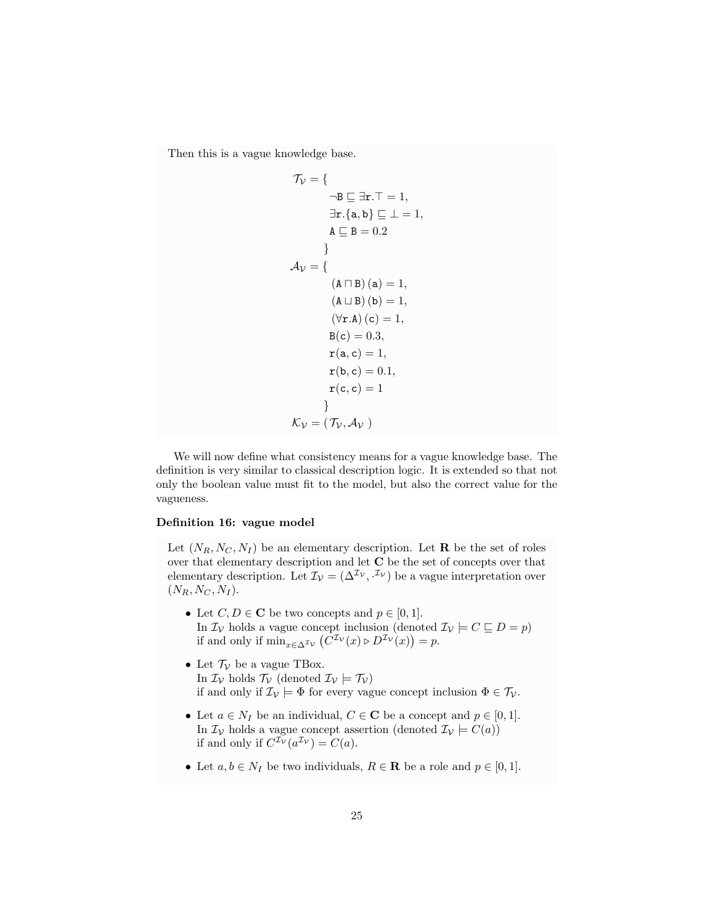Then this is a vague knowledge base.

$$
\mathcal{T}_{\mathcal{V}} = \left\{ \begin{aligned}\n-\mathbf{B} &\sqsubseteq \exists \mathbf{r}.T = 1, \\
\exists \mathbf{r}. \{\mathbf{a}, \mathbf{b}\} &\sqsubseteq \bot = 1, \\
\mathbf{A} &\sqsubseteq \mathbf{B} = 0.2\n\end{aligned} \right\}
$$
\n
$$
\mathcal{A}_{\mathcal{V}} = \left\{ \begin{aligned}\n(\mathbf{A} \sqcap \mathbf{B}) &\left(\mathbf{a}\right) = 1, \\
(\mathbf{A} \sqcup \mathbf{B}) &\left(\mathbf{b}\right) = 1, \\
(\forall \mathbf{r}.\mathbf{A}) &\left(\mathbf{c}\right) = 1, \\
\mathbf{B}(\mathbf{c}) = 0.3, \\
\mathbf{r}(\mathbf{a}, \mathbf{c}) = 1, \\
\mathbf{r}(\mathbf{b}, \mathbf{c}) = 0.1, \\
\mathbf{r}(\mathbf{c}, \mathbf{c}) = 1\n\end{aligned} \right\}
$$

We will now define what consistency means for a vague knowledge base. The definition is very similar to classical description logic. It is extended so that not only the boolean value must fit to the model, but also the correct value for the vagueness.

# Definition 16: vague model

Let  $(N_R, N_C, N_I)$  be an elementary description. Let **R** be the set of roles over that elementary description and let  $C$  be the set of concepts over that elementary description. Let  $\mathcal{I}_{\mathcal{V}} = (\Delta^{\mathcal{I}_{\mathcal{V}}}, \mathcal{I}_{\mathcal{V}})$  be a vague interpretation over  $(N_R, N_C, N_I).$ 

- Let  $C, D \in \mathbb{C}$  be two concepts and  $p \in [0, 1]$ . In  $\mathcal{I}_{\mathcal{V}}$  holds a vague concept inclusion (denoted  $\mathcal{I}_{\mathcal{V}} \models C \sqsubseteq D = p$ ) if and only if  $\min_{x \in \Delta^{\mathcal{I}_{\mathcal{V}}}} (C^{\mathcal{I}_{\mathcal{V}}}(x) \triangleright D^{\mathcal{I}_{\mathcal{V}}}(x)) = p$ .
- Let  $\mathcal{T}_{\mathcal{V}}$  be a vague TBox. In  $\mathcal{I}_{\mathcal{V}}$  holds  $\mathcal{T}_{\mathcal{V}}$  (denoted  $\mathcal{I}_{\mathcal{V}}$ ) if and only if  $\mathcal{I}_{\mathcal{V}} \models \Phi$  for every vague concept inclusion  $\Phi \in \mathcal{T}_{\mathcal{V}}$ .
- Let  $a \in N_I$  be an individual,  $C \in \mathbb{C}$  be a concept and  $p \in [0,1]$ . In  $\mathcal{I}_{\mathcal{V}}$  holds a vague concept assertion (denoted  $\mathcal{I}_{\mathcal{V}} \models C(a)$ ) if and only if  $C^{\mathcal{I}_{\mathcal{V}}}(a^{\mathcal{I}_{\mathcal{V}}}) = C(a)$ .
- Let  $a, b \in N_I$  be two individuals,  $R \in \mathbf{R}$  be a role and  $p \in [0, 1]$ .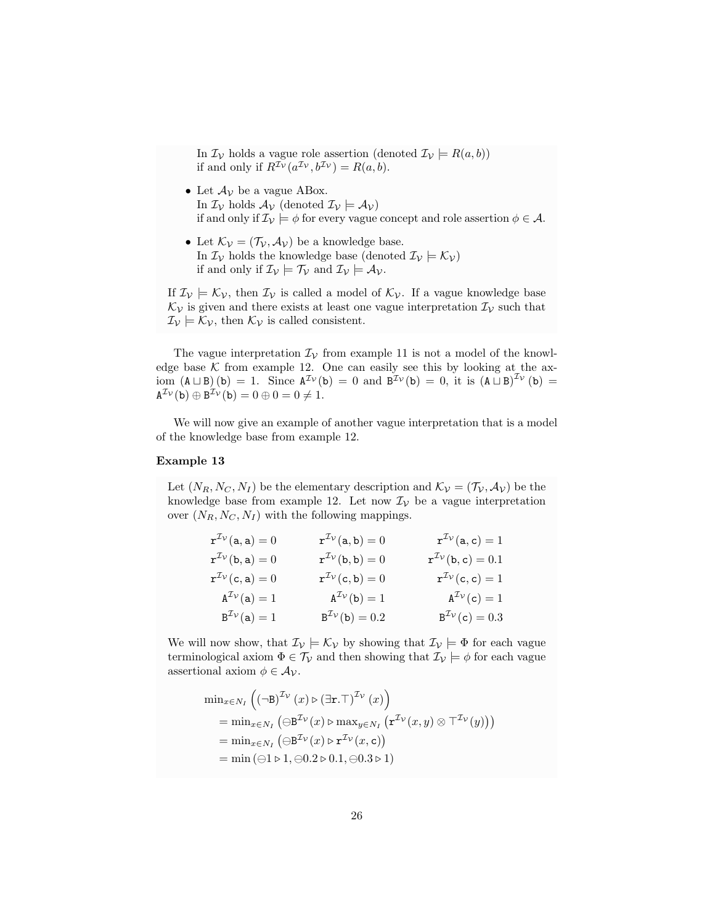In  $\mathcal{I}_{\mathcal{V}}$  holds a vague role assertion (denoted  $\mathcal{I}_{\mathcal{V}}$   $\models R(a,b))$ if and only if  $R^{\mathcal{I}_{\mathcal{V}}}(a^{\mathcal{I}_{\mathcal{V}}},b^{\mathcal{I}_{\mathcal{V}}}) = R(a,b).$ 

- Let  $\mathcal{A}_{\mathcal{V}}$  be a vague ABox. In  $\mathcal{I}_{\mathcal{V}}$  holds  $\mathcal{A}_{\mathcal{V}}$  (denoted  $\mathcal{I}_{\mathcal{V}} \models \mathcal{A}_{\mathcal{V}}$ ) if and only if  $\mathcal{I}_{\mathcal{V}} \models \phi$  for every vague concept and role assertion  $\phi \in \mathcal{A}$ .
- Let  $\mathcal{K}_{\mathcal{V}} = (\mathcal{T}_{\mathcal{V}}, \mathcal{A}_{\mathcal{V}})$  be a knowledge base. In  $\mathcal{I}_{\mathcal{V}}$  holds the knowledge base (denoted  $\mathcal{I}_{\mathcal{V}} \models \mathcal{K}_{\mathcal{V}}$ ) if and only if  $\mathcal{I}_{\mathcal{V}} \models \mathcal{T}_{\mathcal{V}}$  and  $\mathcal{I}_{\mathcal{V}} \models \mathcal{A}_{\mathcal{V}}$ .

If  $\mathcal{I}_{\mathcal{V}} \models \mathcal{K}_{\mathcal{V}}$ , then  $\mathcal{I}_{\mathcal{V}}$  is called a model of  $\mathcal{K}_{\mathcal{V}}$ . If a vague knowledge base  $\mathcal{K}_{\mathcal{V}}$  is given and there exists at least one vague interpretation  $\mathcal{I}_{\mathcal{V}}$  such that  $\mathcal{I}_{\mathcal{V}} \models \mathcal{K}_{\mathcal{V}}$ , then  $\mathcal{K}_{\mathcal{V}}$  is called consistent.

The vague interpretation  $\mathcal{I}_{\mathcal{V}}$  from example 11 is not a model of the knowledge base  $K$  from example 12. One can easily see this by looking at the axiom  $(A \sqcup B)(b) = 1$ . Since  $A^{\mathcal{I}_{\mathcal{V}}}(b) = 0$  and  $B^{\mathcal{I}_{\mathcal{V}}}(b) = 0$ , it is  $(A \sqcup B)^{\mathcal{I}_{\mathcal{V}}}(b) =$  $A^{\mathcal{I}_{\mathcal{V}}}(b) \oplus B^{\mathcal{I}_{\mathcal{V}}}(b) = 0 \oplus 0 = 0 \neq 1.$ 

We will now give an example of another vague interpretation that is a model of the knowledge base from example 12.

# Example 13

Let  $(N_R, N_C, N_I)$  be the elementary description and  $\mathcal{K}_{\mathcal{V}} = (\mathcal{T}_{\mathcal{V}}, \mathcal{A}_{\mathcal{V}})$  be the knowledge base from example 12. Let now  $\mathcal{I}_{\mathcal{V}}$  be a vague interpretation over  $(N_R, N_C, N_I)$  with the following mappings.

| $\mathbf{r}^{\mathcal{I}\mathcal{V}}(\mathbf{a},\mathbf{a})=0$ | $\mathbf{r}^{\mathcal{I}\nu}(\mathbf{a},\mathbf{b})=0$         | $\mathbf{r}^{\mathcal{I}\mathcal{V}}(\mathbf{a}, \mathbf{c}) = 1$ |
|----------------------------------------------------------------|----------------------------------------------------------------|-------------------------------------------------------------------|
| $\mathbf{r}^{\mathcal{I}\mathcal{V}}(\mathbf{b},\mathbf{a})=0$ | $\mathbf{r}^{\mathcal{I}\mathcal{V}}(\mathbf{b},\mathbf{b})=0$ | ${\bf r}^{\mathcal{I}\nu}({\bf b},{\bf c})=0.1$                   |
| $\mathbf{r}^{\mathcal{I}\mathcal{V}}(\mathsf{c},\mathsf{a})=0$ | $\mathbf{r}^{\mathcal{I}\mathcal{V}}(\mathsf{c},\mathsf{b})=0$ | $\mathbf{r}^{\mathcal{I}\mathcal{V}}(\mathsf{c},\mathsf{c})=1$    |
| $A^{\mathcal{I}\mathcal{V}}(a)=1$                              | $A^{\mathcal{I}\mathcal{V}}(b)=1$                              | $A^{\mathcal{I}\mathcal{V}}(c)=1$                                 |
| $B^{\mathcal{I}\mathcal{V}}(a)=1$                              | $B^2v(b) = 0.2$                                                | $B^{\rm Z}_{\rm V}(c) = 0.3$                                      |

We will now show, that  $\mathcal{I}_{\mathcal{V}} \models \mathcal{K}_{\mathcal{V}}$  by showing that  $\mathcal{I}_{\mathcal{V}} \models \Phi$  for each vague terminological axiom  $\Phi \in \mathcal{T}_{\mathcal{V}}$  and then showing that  $\mathcal{I}_{\mathcal{V}} \models \phi$  for each vague assertional axiom  $\phi \in A_{\mathcal{V}}$ .

$$
\begin{aligned}\n\min_{x \in N_I} \left( \left( \neg \mathbf{B} \right)^{\mathcal{I}_{\mathcal{V}}}(x) \triangleright (\exists \mathbf{r}.\top)^{\mathcal{I}_{\mathcal{V}}}(x) \right) \\
= \min_{x \in N_I} \left( \bigoplus^{ \mathcal{I}_{\mathcal{V}}}(x) \triangleright \max_{y \in N_I} \left( \mathbf{r}^{\mathcal{I}_{\mathcal{V}}}(x, y) \otimes \top^{\mathcal{I}_{\mathcal{V}}}(y) \right) \right) \\
= \min_{x \in N_I} \left( \bigoplus^{ \mathcal{I}_{\mathcal{V}}}(x) \triangleright \mathbf{r}^{\mathcal{I}_{\mathcal{V}}}(x, \mathbf{c}) \right) \\
= \min \left( \bigoplus 1 \triangleright 1, \bigoplus 0.2 \triangleright 0.1, \bigoplus 0.3 \triangleright 1 \right)\n\end{aligned}
$$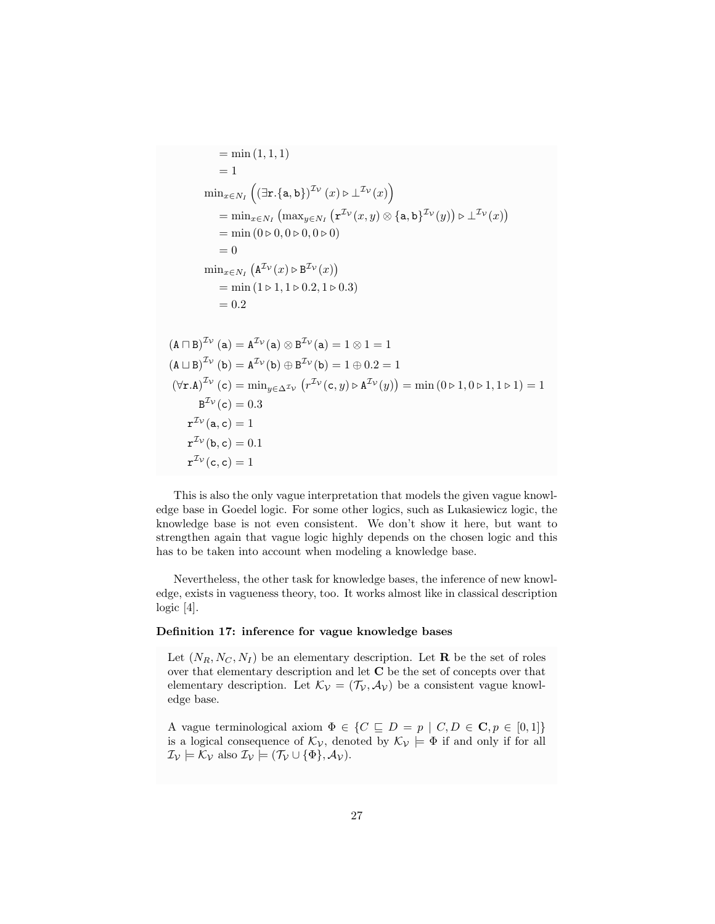$$
= \min(1, 1, 1)
$$
\n
$$
= 1
$$
\n
$$
\min_{x \in N_I} \left( (\exists \mathbf{r}. \{\mathbf{a}, \mathbf{b}\})^{\mathcal{I}_{\mathcal{V}}}(x) \triangleright \bot^{\mathcal{I}_{\mathcal{V}}}(x) \right)
$$
\n
$$
= \min_{x \in N_I} \left( \max_{y \in N_I} \left( \mathbf{r}^{\mathcal{I}_{\mathcal{V}}}(x, y) \otimes \{\mathbf{a}, \mathbf{b}\}^{\mathcal{I}_{\mathcal{V}}}(y) \right) \triangleright \bot^{\mathcal{I}_{\mathcal{V}}}(x) \right)
$$
\n
$$
= \min(0 \triangleright 0, 0 \triangleright 0, 0 \triangleright 0)
$$
\n
$$
= 0
$$
\n
$$
\min_{x \in N_I} \left( \mathbf{A}^{\mathcal{I}_{\mathcal{V}}}(x) \triangleright \mathbf{B}^{\mathcal{I}_{\mathcal{V}}}(x) \right)
$$
\n
$$
= \min(1 \triangleright 1, 1 \triangleright 0.2, 1 \triangleright 0.3)
$$
\n
$$
= 0.2
$$
\n
$$
(\mathbf{A} \sqcap \mathbf{B})^{\mathcal{I}_{\mathcal{V}}}(a) = \mathbf{A}^{\mathcal{I}_{\mathcal{V}}}(a) \otimes \mathbf{B}^{\mathcal{I}_{\mathcal{V}}}(a) = 1 \otimes 1 = 1
$$
\n
$$
(\mathbf{A} \sqcup \mathbf{B})^{\mathcal{I}_{\mathcal{V}}}(b) = \mathbf{A}^{\mathcal{I}_{\mathcal{V}}}(b) \oplus \mathbf{B}^{\mathcal{I}_{\mathcal{V}}}(b) = 1 \oplus 0.2 = 1
$$
\n
$$
(\forall \mathbf{r}.\mathbf{A})^{\mathcal{I}_{\mathcal{V}}}(c) = \min_{y \in \Delta^{\mathcal{I}_{\mathcal{V}}}} \left( r^{\mathcal{I}_{\mathcal{V}}}(c, y) \triangleright \mathbf{A}^{\mathcal{I}_{\mathcal{V}}}(y) \right) = \min(0 \triangleright 1, 0 \triangleright 1, 1 \triangleright 1) = 1
$$
\

This is also the only vague interpretation that models the given vague knowledge base in Goedel logic. For some other logics, such as Lukasiewicz logic, the knowledge base is not even consistent. We don't show it here, but want to strengthen again that vague logic highly depends on the chosen logic and this has to be taken into account when modeling a knowledge base.

Nevertheless, the other task for knowledge bases, the inference of new knowledge, exists in vagueness theory, too. It works almost like in classical description logic [4].

#### Definition 17: inference for vague knowledge bases

Let  $(N_R, N_C, N_I)$  be an elementary description. Let **R** be the set of roles over that elementary description and let C be the set of concepts over that elementary description. Let  $\mathcal{K}_{\mathcal{V}} = (\mathcal{T}_{\mathcal{V}}, \mathcal{A}_{\mathcal{V}})$  be a consistent vague knowledge base.

A vague terminological axiom  $\Phi \in \{C \sqsubseteq D = p \mid C, D \in \mathbb{C}, p \in [0,1]\}$ is a logical consequence of  $\mathcal{K}_{\mathcal{V}}$ , denoted by  $\mathcal{K}_{\mathcal{V}} \models \Phi$  if and only if for all  $\mathcal{I}_{\mathcal{V}} \models \mathcal{K}_{\mathcal{V}}$  also  $\mathcal{I}_{\mathcal{V}} \models (\mathcal{T}_{\mathcal{V}} \cup {\Phi}, \mathcal{A}_{\mathcal{V}}).$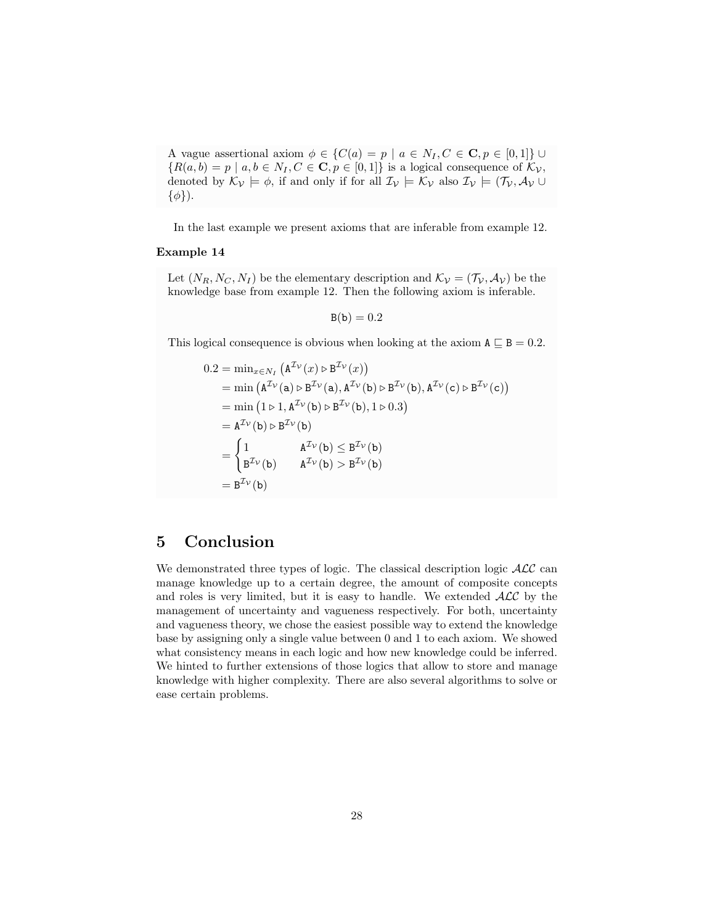A vague assertional axiom  $\phi \in \{C(a) = p \mid a \in N_I, C \in \mathbb{C}, p \in [0,1]\}$  ${R(a, b) = p | a, b \in N_I, C \in \mathbf{C}, p \in [0, 1]}$  is a logical consequence of  $\mathcal{K}_{\mathcal{V}}$ , denoted by  $\mathcal{K}_{\mathcal{V}} \models \phi$ , if and only if for all  $\mathcal{I}_{\mathcal{V}} \models \mathcal{K}_{\mathcal{V}}$  also  $\mathcal{I}_{\mathcal{V}} \models (\mathcal{T}_{\mathcal{V}}, \mathcal{A}_{\mathcal{V}} \cup$  $\{\phi\}\$ .

In the last example we present axioms that are inferable from example 12.

# Example 14

Let  $(N_R, N_C, N_I)$  be the elementary description and  $\mathcal{K}_{\mathcal{V}} = (\mathcal{T}_{\mathcal{V}}, \mathcal{A}_{\mathcal{V}})$  be the knowledge base from example 12. Then the following axiom is inferable.

$$
B(b) = 0.2
$$

This logical consequence is obvious when looking at the axiom  $A \subseteq B = 0.2$ .

$$
0.2 = \min_{x \in N_I} (A^{\mathcal{I}_{\mathcal{V}}}(x) \triangleright B^{\mathcal{I}_{\mathcal{V}}}(x))
$$
  
\n
$$
= \min (A^{\mathcal{I}_{\mathcal{V}}}(a) \triangleright B^{\mathcal{I}_{\mathcal{V}}}(a), A^{\mathcal{I}_{\mathcal{V}}}(b) \triangleright B^{\mathcal{I}_{\mathcal{V}}}(b), A^{\mathcal{I}_{\mathcal{V}}}(c) \triangleright B^{\mathcal{I}_{\mathcal{V}}}(c))
$$
  
\n
$$
= \min (1 \triangleright 1, A^{\mathcal{I}_{\mathcal{V}}}(b) \triangleright B^{\mathcal{I}_{\mathcal{V}}}(b), 1 \triangleright 0.3)
$$
  
\n
$$
= A^{\mathcal{I}_{\mathcal{V}}}(b) \triangleright B^{\mathcal{I}_{\mathcal{V}}}(b)
$$
  
\n
$$
= \begin{cases} 1 & A^{\mathcal{I}_{\mathcal{V}}}(b) \leq B^{\mathcal{I}_{\mathcal{V}}}(b) \\ B^{\mathcal{I}_{\mathcal{V}}}(b) & A^{\mathcal{I}_{\mathcal{V}}}(b) > B^{\mathcal{I}_{\mathcal{V}}}(b) \end{cases}
$$
  
\n
$$
= B^{\mathcal{I}_{\mathcal{V}}}(b)
$$

# 5 Conclusion

We demonstrated three types of logic. The classical description logic  $\mathcal{ALC}$  can manage knowledge up to a certain degree, the amount of composite concepts and roles is very limited, but it is easy to handle. We extended  $\mathcal{ALC}$  by the management of uncertainty and vagueness respectively. For both, uncertainty and vagueness theory, we chose the easiest possible way to extend the knowledge base by assigning only a single value between 0 and 1 to each axiom. We showed what consistency means in each logic and how new knowledge could be inferred. We hinted to further extensions of those logics that allow to store and manage knowledge with higher complexity. There are also several algorithms to solve or ease certain problems.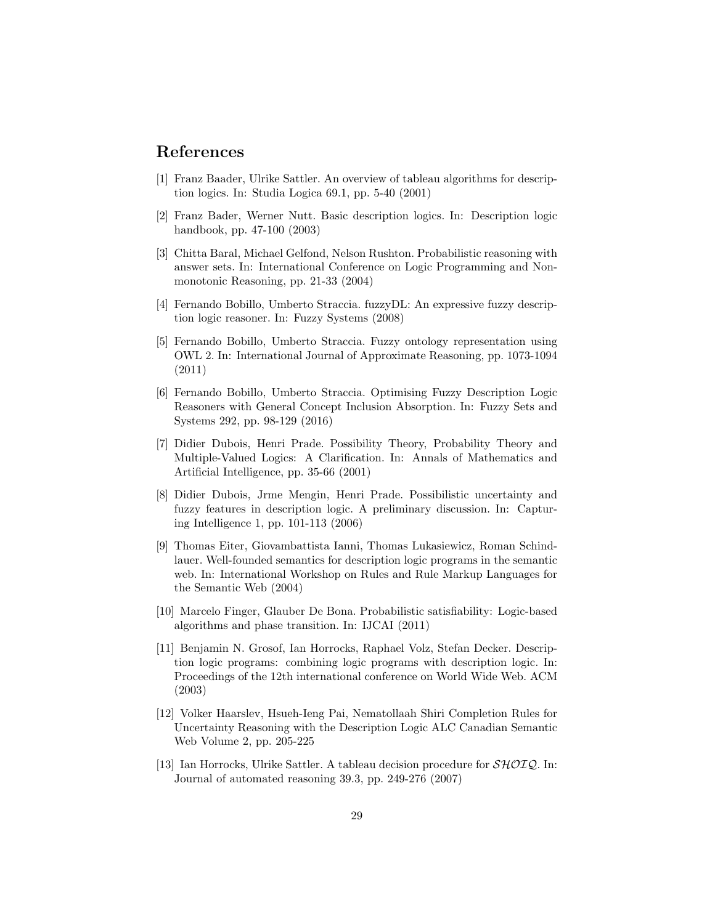# References

- [1] Franz Baader, Ulrike Sattler. An overview of tableau algorithms for description logics. In: Studia Logica 69.1, pp. 5-40 (2001)
- [2] Franz Bader, Werner Nutt. Basic description logics. In: Description logic handbook, pp. 47-100 (2003)
- [3] Chitta Baral, Michael Gelfond, Nelson Rushton. Probabilistic reasoning with answer sets. In: International Conference on Logic Programming and Nonmonotonic Reasoning, pp. 21-33 (2004)
- [4] Fernando Bobillo, Umberto Straccia. fuzzyDL: An expressive fuzzy description logic reasoner. In: Fuzzy Systems (2008)
- [5] Fernando Bobillo, Umberto Straccia. Fuzzy ontology representation using OWL 2. In: International Journal of Approximate Reasoning, pp. 1073-1094 (2011)
- [6] Fernando Bobillo, Umberto Straccia. Optimising Fuzzy Description Logic Reasoners with General Concept Inclusion Absorption. In: Fuzzy Sets and Systems 292, pp. 98-129 (2016)
- [7] Didier Dubois, Henri Prade. Possibility Theory, Probability Theory and Multiple-Valued Logics: A Clarification. In: Annals of Mathematics and Artificial Intelligence, pp. 35-66 (2001)
- [8] Didier Dubois, Jrme Mengin, Henri Prade. Possibilistic uncertainty and fuzzy features in description logic. A preliminary discussion. In: Capturing Intelligence 1, pp. 101-113 (2006)
- [9] Thomas Eiter, Giovambattista Ianni, Thomas Lukasiewicz, Roman Schindlauer. Well-founded semantics for description logic programs in the semantic web. In: International Workshop on Rules and Rule Markup Languages for the Semantic Web (2004)
- [10] Marcelo Finger, Glauber De Bona. Probabilistic satisfiability: Logic-based algorithms and phase transition. In: IJCAI (2011)
- [11] Benjamin N. Grosof, Ian Horrocks, Raphael Volz, Stefan Decker. Description logic programs: combining logic programs with description logic. In: Proceedings of the 12th international conference on World Wide Web. ACM (2003)
- [12] Volker Haarslev, Hsueh-Ieng Pai, Nematollaah Shiri Completion Rules for Uncertainty Reasoning with the Description Logic ALC Canadian Semantic Web Volume 2, pp. 205-225
- [13] Ian Horrocks, Ulrike Sattler. A tableau decision procedure for  $\mathcal{SHOLQ}$ . In: Journal of automated reasoning 39.3, pp. 249-276 (2007)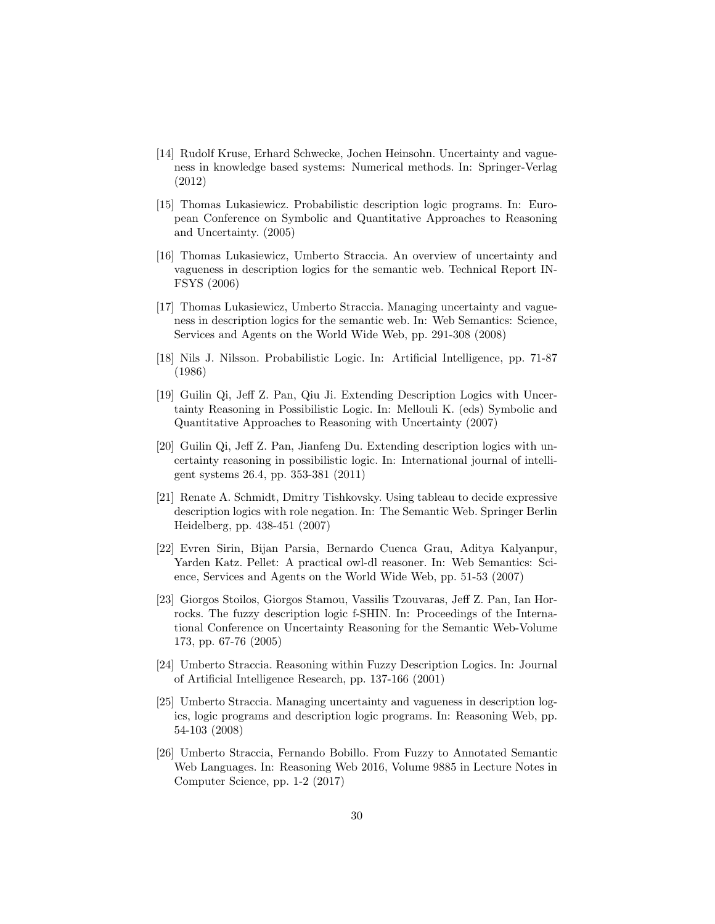- [14] Rudolf Kruse, Erhard Schwecke, Jochen Heinsohn. Uncertainty and vagueness in knowledge based systems: Numerical methods. In: Springer-Verlag (2012)
- [15] Thomas Lukasiewicz. Probabilistic description logic programs. In: European Conference on Symbolic and Quantitative Approaches to Reasoning and Uncertainty. (2005)
- [16] Thomas Lukasiewicz, Umberto Straccia. An overview of uncertainty and vagueness in description logics for the semantic web. Technical Report IN-FSYS (2006)
- [17] Thomas Lukasiewicz, Umberto Straccia. Managing uncertainty and vagueness in description logics for the semantic web. In: Web Semantics: Science, Services and Agents on the World Wide Web, pp. 291-308 (2008)
- [18] Nils J. Nilsson. Probabilistic Logic. In: Artificial Intelligence, pp. 71-87 (1986)
- [19] Guilin Qi, Jeff Z. Pan, Qiu Ji. Extending Description Logics with Uncertainty Reasoning in Possibilistic Logic. In: Mellouli K. (eds) Symbolic and Quantitative Approaches to Reasoning with Uncertainty (2007)
- [20] Guilin Qi, Jeff Z. Pan, Jianfeng Du. Extending description logics with uncertainty reasoning in possibilistic logic. In: International journal of intelligent systems 26.4, pp. 353-381 (2011)
- [21] Renate A. Schmidt, Dmitry Tishkovsky. Using tableau to decide expressive description logics with role negation. In: The Semantic Web. Springer Berlin Heidelberg, pp. 438-451 (2007)
- [22] Evren Sirin, Bijan Parsia, Bernardo Cuenca Grau, Aditya Kalyanpur, Yarden Katz. Pellet: A practical owl-dl reasoner. In: Web Semantics: Science, Services and Agents on the World Wide Web, pp. 51-53 (2007)
- [23] Giorgos Stoilos, Giorgos Stamou, Vassilis Tzouvaras, Jeff Z. Pan, Ian Horrocks. The fuzzy description logic f-SHIN. In: Proceedings of the International Conference on Uncertainty Reasoning for the Semantic Web-Volume 173, pp. 67-76 (2005)
- [24] Umberto Straccia. Reasoning within Fuzzy Description Logics. In: Journal of Artificial Intelligence Research, pp. 137-166 (2001)
- [25] Umberto Straccia. Managing uncertainty and vagueness in description logics, logic programs and description logic programs. In: Reasoning Web, pp. 54-103 (2008)
- [26] Umberto Straccia, Fernando Bobillo. From Fuzzy to Annotated Semantic Web Languages. In: Reasoning Web 2016, Volume 9885 in Lecture Notes in Computer Science, pp. 1-2 (2017)